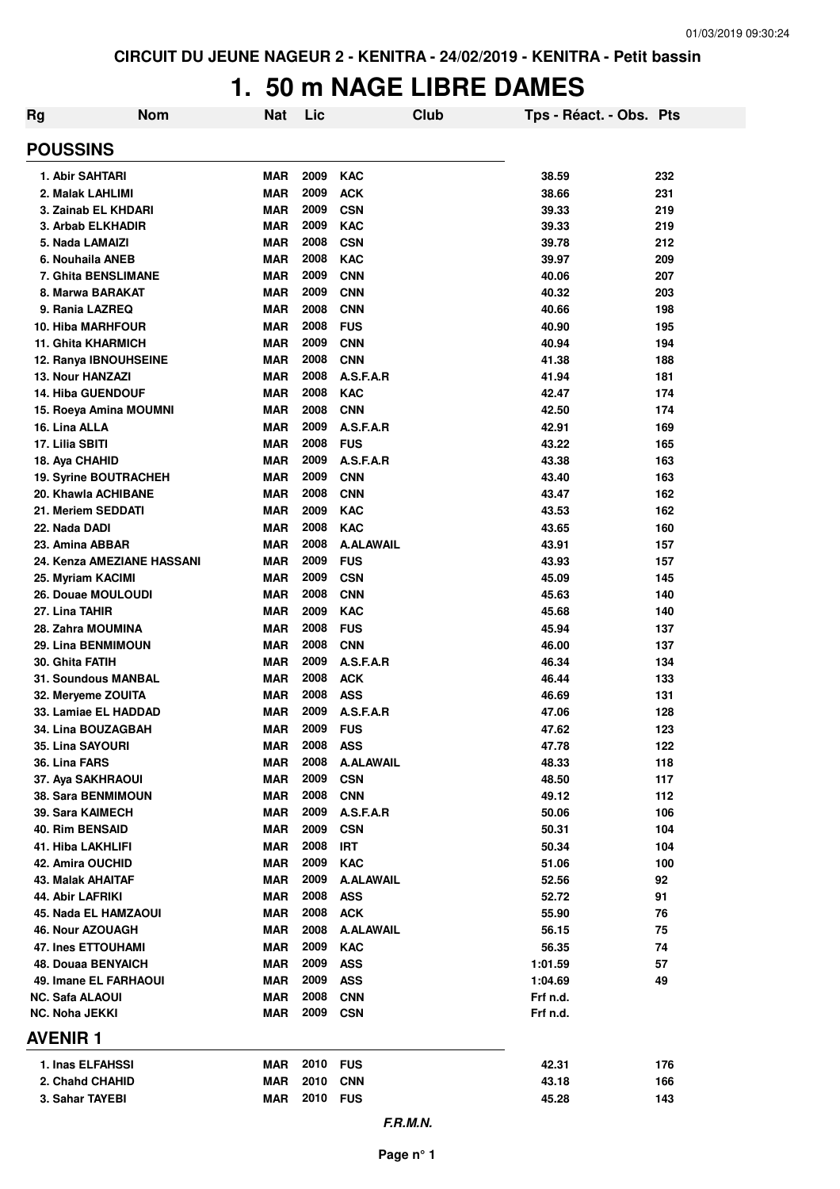## **1. 50 m NAGE LIBRE DAMES**

| Rg                                                  | <b>Nom</b> | <b>Nat</b>               | Lic          | Club                     | Tps - Réact. - Obs. Pts |            |
|-----------------------------------------------------|------------|--------------------------|--------------|--------------------------|-------------------------|------------|
| <b>POUSSINS</b>                                     |            |                          |              |                          |                         |            |
| 1. Abir SAHTARI                                     |            | <b>MAR</b>               | 2009         | <b>KAC</b>               | 38.59                   | 232        |
| 2. Malak LAHLIMI                                    |            | <b>MAR</b>               | 2009         | <b>ACK</b>               | 38.66                   | 231        |
| 3. Zainab EL KHDARI                                 |            | <b>MAR</b>               | 2009         | <b>CSN</b>               | 39.33                   | 219        |
| 3. Arbab ELKHADIR                                   |            | MAR                      | 2009         | <b>KAC</b>               | 39.33                   | 219        |
| 5. Nada LAMAIZI                                     |            | <b>MAR</b>               | 2008         | <b>CSN</b>               | 39.78                   | 212        |
| 6. Nouhaila ANEB                                    |            | <b>MAR</b>               | 2008         | <b>KAC</b>               | 39.97                   | 209        |
| <b>7. Ghita BENSLIMANE</b>                          |            | <b>MAR</b>               | 2009         | <b>CNN</b>               | 40.06                   | 207        |
| 8. Marwa BARAKAT                                    |            | <b>MAR</b>               | 2009         | <b>CNN</b>               | 40.32                   | 203        |
| 9. Rania LAZREQ                                     |            | <b>MAR</b>               | 2008         | <b>CNN</b>               | 40.66                   | 198        |
| <b>10. Hiba MARHFOUR</b>                            |            | <b>MAR</b>               | 2008         | <b>FUS</b>               | 40.90                   | 195        |
| <b>11. Ghita KHARMICH</b>                           |            | <b>MAR</b>               | 2009         | <b>CNN</b>               | 40.94                   | 194        |
| 12. Ranya IBNOUHSEINE                               |            | <b>MAR</b>               | 2008<br>2008 | <b>CNN</b><br>A.S.F.A.R  | 41.38                   | 188        |
| <b>13. Nour HANZAZI</b><br><b>14. Hiba GUENDOUF</b> |            | <b>MAR</b><br><b>MAR</b> | 2008         | <b>KAC</b>               | 41.94<br>42.47          | 181<br>174 |
| 15. Roeya Amina MOUMNI                              |            | <b>MAR</b>               | 2008         | <b>CNN</b>               | 42.50                   | 174        |
| 16. Lina ALLA                                       |            | <b>MAR</b>               | 2009         | A.S.F.A.R                | 42.91                   | 169        |
| 17. Lilia SBITI                                     |            | <b>MAR</b>               | 2008         | <b>FUS</b>               | 43.22                   | 165        |
| 18. Aya CHAHID                                      |            | <b>MAR</b>               | 2009         | A.S.F.A.R                | 43.38                   | 163        |
| 19. Syrine BOUTRACHEH                               |            | <b>MAR</b>               | 2009         | <b>CNN</b>               | 43.40                   | 163        |
| 20. Khawla ACHIBANE                                 |            | <b>MAR</b>               | 2008         | <b>CNN</b>               | 43.47                   | 162        |
| 21. Meriem SEDDATI                                  |            | <b>MAR</b>               | 2009         | <b>KAC</b>               | 43.53                   | 162        |
| 22. Nada DADI                                       |            | <b>MAR</b>               | 2008         | <b>KAC</b>               | 43.65                   | 160        |
| 23. Amina ABBAR                                     |            | <b>MAR</b>               | 2008         | <b>A.ALAWAIL</b>         | 43.91                   | 157        |
| 24. Kenza AMEZIANE HASSANI                          |            | <b>MAR</b>               | 2009         | <b>FUS</b>               | 43.93                   | 157        |
| 25. Myriam KACIMI                                   |            | <b>MAR</b>               | 2009         | <b>CSN</b>               | 45.09                   | 145        |
| 26. Douae MOULOUDI                                  |            | <b>MAR</b>               | 2008         | <b>CNN</b>               | 45.63                   | 140        |
| 27. Lina TAHIR                                      |            | <b>MAR</b>               | 2009         | <b>KAC</b>               | 45.68                   | 140        |
| 28. Zahra MOUMINA                                   |            | <b>MAR</b>               | 2008         | <b>FUS</b>               | 45.94                   | 137        |
| 29. Lina BENMIMOUN                                  |            | <b>MAR</b>               | 2008         | <b>CNN</b>               | 46.00                   | 137        |
| 30. Ghita FATIH                                     |            | <b>MAR</b>               | 2009         | A.S.F.A.R                | 46.34                   | 134        |
| 31. Soundous MANBAL                                 |            | <b>MAR</b>               | 2008         | <b>ACK</b>               | 46.44                   | 133        |
| 32. Meryeme ZOUITA                                  |            | <b>MAR</b>               | 2008         | <b>ASS</b>               | 46.69                   | 131        |
| 33. Lamiae EL HADDAD                                |            | <b>MAR</b>               | 2009         | A.S.F.A.R                | 47.06                   | 128        |
| 34. Lina BOUZAGBAH                                  |            | MAR                      | 2009         | <b>FUS</b>               | 47.62                   | 123        |
| 35. Lina SAYOURI                                    |            | MAR                      | 2008         | ASS                      | 47.78                   | 122        |
| 36. Lina FARS                                       |            | <b>MAR</b>               | 2008         | A.ALAWAIL                | 48.33                   | 118        |
| 37. Aya SAKHRAOUI                                   |            | <b>MAR</b>               | 2009<br>2008 | <b>CSN</b><br><b>CNN</b> | 48.50                   | 117        |
| 38. Sara BENMIMOUN<br>39. Sara KAIMECH              |            | MAR<br>MAR               | 2009         | A.S.F.A.R                | 49.12<br>50.06          | 112<br>106 |
| <b>40. Rim BENSAID</b>                              |            | <b>MAR</b>               | 2009         | <b>CSN</b>               | 50.31                   | 104        |
| 41. Hiba LAKHLIFI                                   |            | <b>MAR</b>               | 2008         | <b>IRT</b>               | 50.34                   | 104        |
| 42. Amira OUCHID                                    |            | <b>MAR</b>               | 2009         | <b>KAC</b>               | 51.06                   | 100        |
| 43. Malak AHAITAF                                   |            | <b>MAR</b>               | 2009         | <b>A.ALAWAIL</b>         | 52.56                   | 92         |
| 44. Abir LAFRIKI                                    |            | MAR                      | 2008         | <b>ASS</b>               | 52.72                   | 91         |
| 45. Nada EL HAMZAOUI                                |            | <b>MAR</b>               | 2008         | <b>ACK</b>               | 55.90                   | 76         |
| 46. Nour AZOUAGH                                    |            | <b>MAR</b>               | 2008         | <b>A.ALAWAIL</b>         | 56.15                   | 75         |
| <b>47. Ines ETTOUHAMI</b>                           |            | <b>MAR</b>               | 2009         | <b>KAC</b>               | 56.35                   | 74         |
| <b>48. Douaa BENYAICH</b>                           |            | <b>MAR</b>               | 2009         | <b>ASS</b>               | 1:01.59                 | 57         |
| 49. Imane EL FARHAOUI                               |            | <b>MAR</b>               | 2009         | <b>ASS</b>               | 1:04.69                 | 49         |
| NC. Safa ALAOUI                                     |            | <b>MAR</b>               | 2008         | <b>CNN</b>               | Frf n.d.                |            |
| NC. Noha JEKKI                                      |            | MAR                      | 2009         | <b>CSN</b>               | Frf n.d.                |            |
| <b>AVENIR1</b>                                      |            |                          |              |                          |                         |            |
| 1. Inas ELFAHSSI                                    |            | MAR                      | 2010 FUS     |                          | 42.31                   | 176        |
| 2. Chahd CHAHID                                     |            | <b>MAR</b>               | 2010         | <b>CNN</b>               | 43.18                   | 166        |
| 3. Sahar TAYEBI                                     |            | <b>MAR</b>               | 2010         | <b>FUS</b>               | 45.28                   | 143        |
|                                                     |            |                          |              | F.R.M.N.                 |                         |            |

**Page n° 1**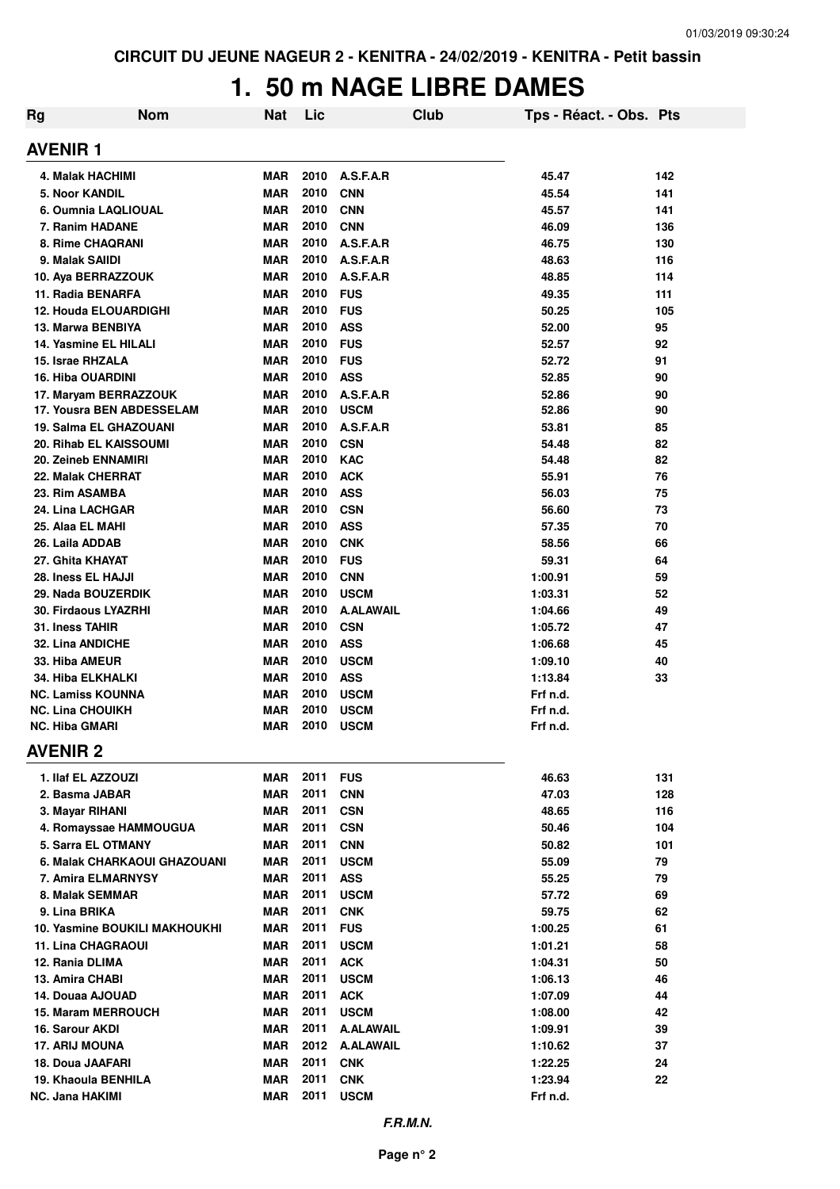# **1. 50 m NAGE LIBRE DAMES**

| Rg                          | <b>Nom</b>                                                | Nat                      | Lic          |                         | Club | Tps - Réact. - Obs. Pts |          |
|-----------------------------|-----------------------------------------------------------|--------------------------|--------------|-------------------------|------|-------------------------|----------|
| <b>AVENIR1</b>              |                                                           |                          |              |                         |      |                         |          |
| 4. Malak HACHIMI            |                                                           | <b>MAR</b>               | 2010         | A.S.F.A.R               |      | 45.47                   | 142      |
| <b>5. Noor KANDIL</b>       |                                                           | <b>MAR</b>               | 2010         | <b>CNN</b>              |      | 45.54                   | 141      |
|                             | 6. Oumnia LAQLIOUAL                                       | <b>MAR</b>               | 2010         | <b>CNN</b>              |      | 45.57                   | 141      |
| 7. Ranim HADANE             |                                                           | <b>MAR</b>               | 2010         | <b>CNN</b>              |      | 46.09                   | 136      |
| 8. Rime CHAQRANI            |                                                           | <b>MAR</b>               | 2010         | A.S.F.A.R               |      | 46.75                   | 130      |
| 9. Malak SAIIDI             |                                                           | <b>MAR</b>               | 2010         | A.S.F.A.R               |      | 48.63                   | 116      |
| 10. Aya BERRAZZOUK          |                                                           | <b>MAR</b>               | 2010         | A.S.F.A.R               |      | 48.85                   | 114      |
| 11. Radia BENARFA           |                                                           | <b>MAR</b>               | 2010         | <b>FUS</b>              |      | 49.35                   | 111      |
|                             | 12. Houda ELOUARDIGHI                                     | <b>MAR</b>               | 2010         | <b>FUS</b>              |      | 50.25                   | 105      |
| 13. Marwa BENBIYA           |                                                           | <b>MAR</b>               | 2010         | <b>ASS</b>              |      | 52.00                   | 95       |
|                             | 14. Yasmine EL HILALI                                     | <b>MAR</b>               | 2010         | <b>FUS</b>              |      | 52.57                   | 92       |
| 15. Israe RHZALA            |                                                           | <b>MAR</b>               | 2010         | <b>FUS</b>              |      | 52.72                   | 91       |
| <b>16. Hiba OUARDINI</b>    |                                                           | <b>MAR</b>               | 2010<br>2010 | <b>ASS</b><br>A.S.F.A.R |      | 52.85                   | 90       |
|                             | 17. Maryam BERRAZZOUK<br><b>17. Yousra BEN ABDESSELAM</b> | <b>MAR</b><br><b>MAR</b> | 2010         | <b>USCM</b>             |      | 52.86<br>52.86          | 90<br>90 |
|                             | 19. Salma EL GHAZOUANI                                    | <b>MAR</b>               | 2010         | A.S.F.A.R               |      | 53.81                   | 85       |
|                             | 20. Rihab EL KAISSOUMI                                    | <b>MAR</b>               | 2010         | <b>CSN</b>              |      | 54.48                   | 82       |
| 20. Zeineb ENNAMIRI         |                                                           | <b>MAR</b>               | 2010         | <b>KAC</b>              |      | 54.48                   | 82       |
| 22. Malak CHERRAT           |                                                           | <b>MAR</b>               | 2010         | <b>ACK</b>              |      | 55.91                   | 76       |
| 23. Rim ASAMBA              |                                                           | <b>MAR</b>               | 2010         | <b>ASS</b>              |      | 56.03                   | 75       |
| 24. Lina LACHGAR            |                                                           | <b>MAR</b>               | 2010         | <b>CSN</b>              |      | 56.60                   | 73       |
| 25. Alaa EL MAHI            |                                                           | <b>MAR</b>               | 2010         | <b>ASS</b>              |      | 57.35                   | 70       |
| 26. Laila ADDAB             |                                                           | <b>MAR</b>               | 2010         | <b>CNK</b>              |      | 58.56                   | 66       |
| 27. Ghita KHAYAT            |                                                           | <b>MAR</b>               | 2010         | <b>FUS</b>              |      | 59.31                   | 64       |
| 28. Iness EL HAJJI          |                                                           | <b>MAR</b>               | 2010         | <b>CNN</b>              |      | 1:00.91                 | 59       |
| 29. Nada BOUZERDIK          |                                                           | <b>MAR</b>               | 2010         | <b>USCM</b>             |      | 1:03.31                 | 52       |
| <b>30. Firdaous LYAZRHI</b> |                                                           | <b>MAR</b>               | 2010         | <b>A.ALAWAIL</b>        |      | 1:04.66                 | 49       |
| 31. Iness TAHIR             |                                                           | <b>MAR</b>               | 2010         | <b>CSN</b>              |      | 1:05.72                 | 47       |
| <b>32. Lina ANDICHE</b>     |                                                           | <b>MAR</b>               | 2010         | <b>ASS</b>              |      | 1:06.68                 | 45       |
| 33. Hiba AMEUR              |                                                           | <b>MAR</b>               | 2010         | <b>USCM</b>             |      | 1:09.10                 | 40       |
| 34. Hiba ELKHALKI           |                                                           | <b>MAR</b>               | 2010         | <b>ASS</b>              |      | 1:13.84                 | 33       |
| <b>NC. Lamiss KOUNNA</b>    |                                                           | <b>MAR</b>               | 2010         | <b>USCM</b>             |      | Frf n.d.                |          |
| <b>NC. Lina CHOUIKH</b>     |                                                           | <b>MAR</b>               | 2010         | <b>USCM</b>             |      | Frf n.d.                |          |
| <b>NC. Hiba GMARI</b>       |                                                           | <b>MAR</b>               | 2010         | <b>USCM</b>             |      | Frf n.d.                |          |
| <b>AVENIR 2</b>             |                                                           |                          |              |                         |      |                         |          |
| 1. Ilaf EL AZZOUZI          |                                                           | <b>MAR</b>               | 2011         | <b>FUS</b>              |      | 46.63                   | 131      |
| 2. Basma JABAR              |                                                           | <b>MAR</b>               | 2011         | <b>CNN</b>              |      | 47.03                   | 128      |
| 3. Mayar RIHANI             |                                                           | <b>MAR</b>               | 2011         | <b>CSN</b>              |      | 48.65                   | 116      |
|                             | 4. Romayssae HAMMOUGUA                                    | <b>MAR</b>               | 2011         | <b>CSN</b>              |      | 50.46                   | 104      |
|                             | 5. Sarra EL OTMANY                                        | <b>MAR</b>               | 2011         | <b>CNN</b>              |      | 50.82                   | 101      |
|                             | 6. Malak CHARKAOUI GHAZOUANI                              | MAR                      | 2011         | <b>USCM</b>             |      | 55.09                   | 79       |
|                             | 7. Amira ELMARNYSY                                        | <b>MAR</b>               | 2011         | <b>ASS</b>              |      | 55.25                   | 79       |
| 8. Malak SEMMAR             |                                                           | <b>MAR</b>               | 2011         | <b>USCM</b>             |      | 57.72                   | 69       |
| 9. Lina BRIKA               |                                                           | <b>MAR</b>               | 2011         | <b>CNK</b>              |      | 59.75                   | 62       |
|                             | 10. Yasmine BOUKILI MAKHOUKHI                             | <b>MAR</b>               | 2011         | <b>FUS</b>              |      | 1:00.25                 | 61       |
| <b>11. Lina CHAGRAOUI</b>   |                                                           | <b>MAR</b>               | 2011         | <b>USCM</b>             |      | 1:01.21                 | 58       |
| 12. Rania DLIMA             |                                                           | <b>MAR</b>               | 2011         | <b>ACK</b>              |      | 1:04.31                 | 50       |
| 13. Amira CHABI             |                                                           | <b>MAR</b>               | 2011         | <b>USCM</b>             |      | 1:06.13                 | 46       |
| 14. Douaa AJOUAD            |                                                           | <b>MAR</b>               | 2011         | <b>ACK</b>              |      | 1:07.09                 | 44       |
|                             | <b>15. Maram MERROUCH</b>                                 | <b>MAR</b>               | 2011         | <b>USCM</b>             |      | 1:08.00                 | 42       |
| 16. Sarour AKDI             |                                                           | <b>MAR</b>               | 2011         | <b>A.ALAWAIL</b>        |      | 1:09.91                 | 39       |
| <b>17. ARIJ MOUNA</b>       |                                                           | <b>MAR</b>               | 2012         | <b>A.ALAWAIL</b>        |      | 1:10.62                 | 37       |
| 18. Doua JAAFARI            |                                                           | <b>MAR</b>               | 2011         | <b>CNK</b>              |      | 1:22.25                 | 24       |
| 19. Khaoula BENHILA         |                                                           | <b>MAR</b>               | 2011         | <b>CNK</b>              |      | 1:23.94                 | 22       |
| NC. Jana HAKIMI             |                                                           | <b>MAR</b>               | 2011         | <b>USCM</b>             |      | Frf n.d.                |          |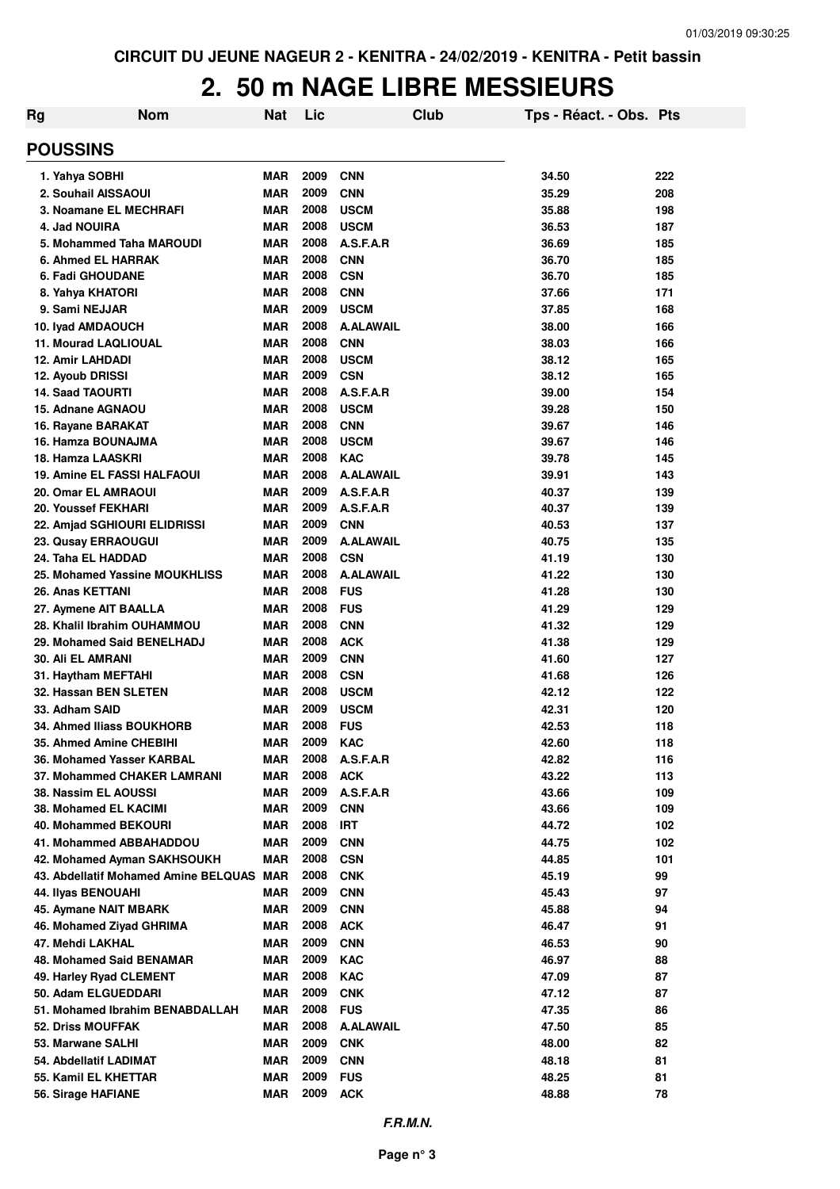#### **2. 50 m NAGE LIBRE MESSIEURS**

| Rg                                                | <b>Nom</b>                           | <b>Nat</b>               | Lic          | Club                          | Tps - Réact. - Obs. Pts |            |
|---------------------------------------------------|--------------------------------------|--------------------------|--------------|-------------------------------|-------------------------|------------|
| <b>POUSSINS</b>                                   |                                      |                          |              |                               |                         |            |
| 1. Yahya SOBHI                                    |                                      | <b>MAR</b>               | 2009         | <b>CNN</b>                    | 34.50                   | 222        |
| 2. Souhail AISSAOUI                               |                                      | <b>MAR</b>               | 2009         | <b>CNN</b>                    | 35.29                   | 208        |
|                                                   | 3. Noamane EL MECHRAFI               | <b>MAR</b>               | 2008         | <b>USCM</b>                   | 35.88                   | 198        |
| 4. Jad NOUIRA                                     |                                      | <b>MAR</b>               | 2008         | <b>USCM</b>                   | 36.53                   | 187        |
|                                                   | 5. Mohammed Taha MAROUDI             | <b>MAR</b>               | 2008         | A.S.F.A.R                     | 36.69                   | 185        |
| <b>6. Ahmed EL HARRAK</b>                         |                                      | <b>MAR</b>               | 2008         | <b>CNN</b>                    | 36.70                   | 185        |
| 6. Fadi GHOUDANE                                  |                                      | MAR                      | 2008         | <b>CSN</b>                    | 36.70                   | 185        |
| 8. Yahya KHATORI                                  |                                      | MAR                      | 2008         | <b>CNN</b>                    | 37.66                   | 171        |
| 9. Sami NEJJAR                                    |                                      | <b>MAR</b>               | 2009         | <b>USCM</b>                   | 37.85                   | 168        |
| 10. Iyad AMDAOUCH                                 |                                      | <b>MAR</b>               | 2008         | <b>A.ALAWAIL</b>              | 38.00                   | 166        |
| <b>11. Mourad LAQLIOUAL</b>                       |                                      | <b>MAR</b>               | 2008         | <b>CNN</b>                    | 38.03                   | 166        |
| <b>12. Amir LAHDADI</b>                           |                                      | <b>MAR</b>               | 2008         | <b>USCM</b>                   | 38.12                   | 165        |
| 12. Ayoub DRISSI                                  |                                      | <b>MAR</b>               | 2009         | <b>CSN</b>                    | 38.12                   | 165        |
| <b>14. Saad TAOURTI</b>                           |                                      | <b>MAR</b>               | 2008         | A.S.F.A.R                     | 39.00                   | 154        |
| 15. Adnane AGNAOU                                 |                                      | <b>MAR</b>               | 2008         | <b>USCM</b>                   | 39.28                   | 150        |
| 16. Rayane BARAKAT                                |                                      | <b>MAR</b>               | 2008         | <b>CNN</b>                    | 39.67                   | 146        |
| 16. Hamza BOUNAJMA                                |                                      | <b>MAR</b>               | 2008         | <b>USCM</b>                   | 39.67                   | 146        |
| 18. Hamza LAASKRI                                 |                                      | <b>MAR</b>               | 2008         | <b>KAC</b>                    | 39.78                   | 145        |
|                                                   | <b>19. Amine EL FASSI HALFAOUI</b>   | <b>MAR</b>               | 2008<br>2009 | <b>A.ALAWAIL</b><br>A.S.F.A.R | 39.91                   | 143        |
| <b>20. Omar EL AMRAOUI</b><br>20. Youssef FEKHARI |                                      | <b>MAR</b><br><b>MAR</b> | 2009         | A.S.F.A.R                     | 40.37<br>40.37          | 139<br>139 |
|                                                   | 22. Amjad SGHIOURI ELIDRISSI         | <b>MAR</b>               | 2009         | <b>CNN</b>                    | 40.53                   | 137        |
| 23. Qusay ERRAOUGUI                               |                                      | <b>MAR</b>               | 2009         | <b>A.ALAWAIL</b>              | 40.75                   | 135        |
| 24. Taha EL HADDAD                                |                                      | <b>MAR</b>               | 2008         | <b>CSN</b>                    | 41.19                   | 130        |
|                                                   | 25. Mohamed Yassine MOUKHLISS        | <b>MAR</b>               | 2008         | <b>A.ALAWAIL</b>              | 41.22                   | 130        |
| 26. Anas KETTANI                                  |                                      | <b>MAR</b>               | 2008         | <b>FUS</b>                    | 41.28                   | 130        |
| 27. Aymene AIT BAALLA                             |                                      | <b>MAR</b>               | 2008         | <b>FUS</b>                    | 41.29                   | 129        |
|                                                   | 28. Khalil Ibrahim OUHAMMOU          | <b>MAR</b>               | 2008         | <b>CNN</b>                    | 41.32                   | 129        |
|                                                   | 29. Mohamed Said BENELHADJ           | <b>MAR</b>               | 2008         | <b>ACK</b>                    | 41.38                   | 129        |
| <b>30. Ali EL AMRANI</b>                          |                                      | <b>MAR</b>               | 2009         | <b>CNN</b>                    | 41.60                   | 127        |
| 31. Haytham MEFTAHI                               |                                      | <b>MAR</b>               | 2008         | <b>CSN</b>                    | 41.68                   | 126        |
| 32. Hassan BEN SLETEN                             |                                      | <b>MAR</b>               | 2008         | <b>USCM</b>                   | 42.12                   | 122        |
| 33. Adham SAID                                    |                                      | <b>MAR</b>               | 2009         | <b>USCM</b>                   | 42.31                   | 120        |
|                                                   | 34. Ahmed Iliass BOUKHORB            | <b>MAR</b>               | 2008         | <b>FUS</b>                    | 42.53                   | 118        |
| 35. Ahmed Amine CHEBIHI                           |                                      | <b>MAR</b>               | 2009         | <b>KAC</b>                    | 42.60                   | 118        |
|                                                   | 36. Mohamed Yasser KARBAL            | <b>MAR</b>               | 2008         | A.S.F.A.R                     | 42.82                   | 116        |
|                                                   | 37. Mohammed CHAKER LAMRANI          | <b>MAR</b>               | 2008         | <b>ACK</b>                    | 43.22                   | 113        |
| 38. Nassim EL AOUSSI                              |                                      | <b>MAR</b>               | 2009         | A.S.F.A.R                     | 43.66                   | 109        |
| 38. Mohamed EL KACIMI                             |                                      | MAR                      | 2009         | <b>CNN</b>                    | 43.66                   | 109        |
| <b>40. Mohammed BEKOURI</b>                       |                                      | MAR                      | 2008         | <b>IRT</b>                    | 44.72                   | 102        |
|                                                   | 41. Mohammed ABBAHADDOU              | MAR                      | 2009         | <b>CNN</b>                    | 44.75                   | 102        |
|                                                   | 42. Mohamed Ayman SAKHSOUKH          | MAR                      | 2008         | <b>CSN</b>                    | 44.85                   | 101        |
|                                                   | 43. Abdellatif Mohamed Amine BELQUAS | <b>MAR</b>               | 2008         | <b>CNK</b>                    | 45.19                   | 99         |
| 44. Ilyas BENOUAHI                                |                                      | MAR                      | 2009         | <b>CNN</b>                    | 45.43                   | 97         |
| 45. Aymane NAIT MBARK                             |                                      | <b>MAR</b>               | 2009         | <b>CNN</b>                    | 45.88                   | 94         |
|                                                   | 46. Mohamed Ziyad GHRIMA             | MAR                      | 2008         | <b>ACK</b>                    | 46.47                   | 91         |
| 47. Mehdi LAKHAL                                  |                                      | <b>MAR</b>               | 2009         | <b>CNN</b>                    | 46.53                   | 90         |
|                                                   | 48. Mohamed Said BENAMAR             | <b>MAR</b>               | 2009         | <b>KAC</b>                    | 46.97                   | 88         |
| 49. Harley Ryad CLEMENT                           |                                      | <b>MAR</b>               | 2008         | <b>KAC</b>                    | 47.09                   | 87         |
| 50. Adam ELGUEDDARI                               |                                      | <b>MAR</b>               | 2009         | <b>CNK</b>                    | 47.12                   | 87         |
|                                                   | 51. Mohamed Ibrahim BENABDALLAH      | MAR                      | 2008         | <b>FUS</b>                    | 47.35                   | 86         |
| <b>52. Driss MOUFFAK</b>                          |                                      | <b>MAR</b>               | 2008         | <b>A.ALAWAIL</b>              | 47.50                   | 85         |
| 53. Marwane SALHI                                 |                                      | <b>MAR</b>               | 2009         | <b>CNK</b>                    | 48.00                   | 82         |
| 54. Abdellatif LADIMAT                            |                                      | <b>MAR</b>               | 2009         | <b>CNN</b>                    | 48.18                   | 81         |
| 55. Kamil EL KHETTAR                              |                                      | <b>MAR</b>               | 2009<br>2009 | <b>FUS</b>                    | 48.25                   | 81         |
| 56. Sirage HAFIANE                                |                                      | <b>MAR</b>               |              | <b>ACK</b>                    | 48.88                   | 78         |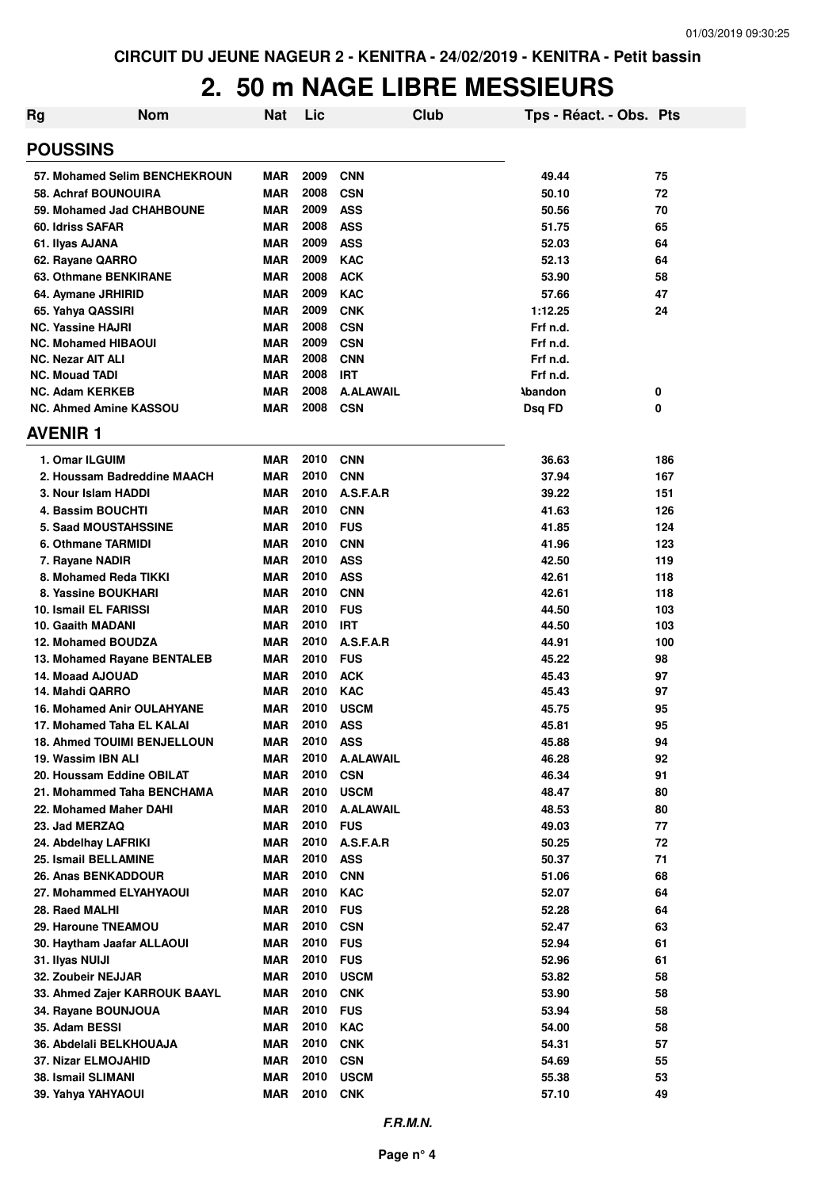## **2. 50 m NAGE LIBRE MESSIEURS**

| Rg                                                              | <b>Nom</b>                    | Nat        | Lic          |                         | Club | Tps - Réact. - Obs. Pts |          |
|-----------------------------------------------------------------|-------------------------------|------------|--------------|-------------------------|------|-------------------------|----------|
| <b>POUSSINS</b>                                                 |                               |            |              |                         |      |                         |          |
|                                                                 | 57. Mohamed Selim BENCHEKROUN | MAR        | 2009         | <b>CNN</b>              |      | 49.44                   | 75       |
| 58. Achraf BOUNOUIRA                                            |                               | <b>MAR</b> | 2008         | <b>CSN</b>              |      | 50.10                   | 72       |
| 59. Mohamed Jad CHAHBOUNE                                       |                               | <b>MAR</b> | 2009         | <b>ASS</b>              |      | 50.56                   | 70       |
| 60. Idriss SAFAR                                                |                               | <b>MAR</b> | 2008         | <b>ASS</b>              |      | 51.75                   | 65       |
| 61. Ilyas AJANA                                                 |                               | <b>MAR</b> | 2009         | <b>ASS</b>              |      | 52.03                   | 64       |
| 62. Rayane QARRO                                                |                               | <b>MAR</b> | 2009         | <b>KAC</b>              |      | 52.13                   | 64       |
| 63. Othmane BENKIRANE                                           |                               | <b>MAR</b> | 2008         | <b>ACK</b>              |      | 53.90                   | 58       |
| 64. Aymane JRHIRID                                              |                               | <b>MAR</b> | 2009         | <b>KAC</b>              |      | 57.66                   | 47       |
| 65. Yahya QASSIRI                                               |                               | <b>MAR</b> | 2009         | <b>CNK</b>              |      | 1:12.25                 | 24       |
| <b>NC. Yassine HAJRI</b>                                        |                               | <b>MAR</b> | 2008         | <b>CSN</b>              |      | Frf n.d.                |          |
| <b>NC. Mohamed HIBAOUI</b>                                      |                               | <b>MAR</b> | 2009         | <b>CSN</b>              |      | Frf n.d.                |          |
| <b>NC. Nezar AIT ALI</b>                                        |                               | <b>MAR</b> | 2008         | <b>CNN</b>              |      | Frf n.d.                |          |
| <b>NC. Mouad TADI</b>                                           |                               | <b>MAR</b> | 2008         | <b>IRT</b>              |      | Frf n.d.                |          |
| <b>NC. Adam KERKEB</b>                                          |                               | <b>MAR</b> | 2008         | <b>A.ALAWAIL</b>        |      | <b>\bandon</b>          | 0        |
| <b>NC. Ahmed Amine KASSOU</b>                                   |                               | <b>MAR</b> | 2008         | <b>CSN</b>              |      | Dsq FD                  | 0        |
| <b>AVENIR1</b>                                                  |                               |            |              |                         |      |                         |          |
| 1. Omar ILGUIM                                                  |                               | <b>MAR</b> | 2010         | <b>CNN</b>              |      | 36.63                   | 186      |
|                                                                 | 2. Houssam Badreddine MAACH   | <b>MAR</b> | 2010         | <b>CNN</b>              |      | 37.94                   | 167      |
| 3. Nour Islam HADDI                                             |                               | <b>MAR</b> | 2010         | A.S.F.A.R               |      | 39.22                   | 151      |
| 4. Bassim BOUCHTI                                               |                               | MAR        | 2010         | <b>CNN</b>              |      | 41.63                   | 126      |
| <b>5. Saad MOUSTAHSSINE</b>                                     |                               | MAR        | 2010         | <b>FUS</b>              |      | 41.85                   | 124      |
| 6. Othmane TARMIDI                                              |                               | <b>MAR</b> | 2010         | <b>CNN</b>              |      | 41.96                   | 123      |
| 7. Rayane NADIR                                                 |                               | <b>MAR</b> | 2010         | <b>ASS</b>              |      | 42.50                   | 119      |
| 8. Mohamed Reda TIKKI                                           |                               | <b>MAR</b> | 2010         | <b>ASS</b>              |      | 42.61                   | 118      |
| 8. Yassine BOUKHARI                                             |                               | <b>MAR</b> | 2010         | <b>CNN</b>              |      | 42.61                   | 118      |
| 10. Ismail EL FARISSI                                           |                               | <b>MAR</b> | 2010         | <b>FUS</b>              |      | 44.50                   | 103      |
| <b>10. Gaaith MADANI</b>                                        |                               | <b>MAR</b> | 2010         | <b>IRT</b>              |      | 44.50                   | 103      |
| <b>12. Mohamed BOUDZA</b>                                       |                               | <b>MAR</b> | 2010         | A.S.F.A.R               |      | 44.91                   | 100      |
| 13. Mohamed Rayane BENTALEB                                     |                               | MAR        | 2010         | <b>FUS</b>              |      | 45.22                   | 98       |
| 14. Moaad AJOUAD                                                |                               | <b>MAR</b> | 2010         | <b>ACK</b>              |      | 45.43                   | 97       |
| 14. Mahdi QARRO                                                 |                               | <b>MAR</b> | 2010         | <b>KAC</b>              |      | 45.43                   | 97       |
| <b>16. Mohamed Anir OULAHYANE</b>                               |                               | MAR        | 2010         | <b>USCM</b>             |      | 45.75                   | 95       |
| 17. Mohamed Taha EL KALAI<br><b>18. Ahmed TOUIMI BENJELLOUN</b> |                               | MAR        | 2010<br>2010 | <b>ASS</b>              |      | 45.81                   | 95       |
| 19. Wassim IBN ALI                                              |                               | MAR<br>MAR | 2010         | <b>ASS</b>              |      | 45.88<br>46.28          | 94<br>92 |
| 20. Houssam Eddine OBILAT                                       |                               | <b>MAR</b> | 2010         | A.ALAWAIL<br><b>CSN</b> |      | 46.34                   | 91       |
| 21. Mohammed Taha BENCHAMA                                      |                               | MAR        | 2010         | <b>USCM</b>             |      | 48.47                   | 80       |
| 22. Mohamed Maher DAHI                                          |                               | MAR        | 2010         | <b>A.ALAWAIL</b>        |      | 48.53                   | 80       |
| 23. Jad MERZAQ                                                  |                               | MAR        | 2010         | <b>FUS</b>              |      | 49.03                   | 77       |
| 24. Abdelhay LAFRIKI                                            |                               | <b>MAR</b> | 2010         | A.S.F.A.R               |      | 50.25                   | 72       |
| 25. Ismail BELLAMINE                                            |                               | MAR        | 2010         | <b>ASS</b>              |      | 50.37                   | 71       |
| 26. Anas BENKADDOUR                                             |                               | <b>MAR</b> | 2010         | <b>CNN</b>              |      | 51.06                   | 68       |
| 27. Mohammed ELYAHYAOUI                                         |                               | MAR        | 2010         | <b>KAC</b>              |      | 52.07                   | 64       |
| 28. Raed MALHI                                                  |                               | <b>MAR</b> | 2010         | <b>FUS</b>              |      | 52.28                   | 64       |
| 29. Haroune TNEAMOU                                             |                               | <b>MAR</b> | 2010         | <b>CSN</b>              |      | 52.47                   | 63       |
| 30. Haytham Jaafar ALLAOUI                                      |                               | <b>MAR</b> | 2010         | <b>FUS</b>              |      | 52.94                   | 61       |
| 31. Ilyas NUIJI                                                 |                               | MAR        | 2010         | <b>FUS</b>              |      | 52.96                   | 61       |
| 32. Zoubeir NEJJAR                                              |                               | <b>MAR</b> | 2010         | <b>USCM</b>             |      | 53.82                   | 58       |
|                                                                 | 33. Ahmed Zajer KARROUK BAAYL | <b>MAR</b> | 2010         | <b>CNK</b>              |      | 53.90                   | 58       |
| 34. Rayane BOUNJOUA                                             |                               | <b>MAR</b> | 2010         | <b>FUS</b>              |      | 53.94                   | 58       |
| 35. Adam BESSI                                                  |                               | <b>MAR</b> | 2010         | KAC                     |      | 54.00                   | 58       |
| 36. Abdelali BELKHOUAJA                                         |                               | <b>MAR</b> | 2010         | <b>CNK</b>              |      | 54.31                   | 57       |
| 37. Nizar ELMOJAHID                                             |                               | <b>MAR</b> | 2010         | <b>CSN</b>              |      | 54.69                   | 55       |
| 38. Ismail SLIMANI                                              |                               | <b>MAR</b> | 2010         | <b>USCM</b>             |      | 55.38                   | 53       |
| 39. Yahya YAHYAOUI                                              |                               | <b>MAR</b> | 2010         | <b>CNK</b>              |      | 57.10                   | 49       |
|                                                                 |                               |            |              |                         |      |                         |          |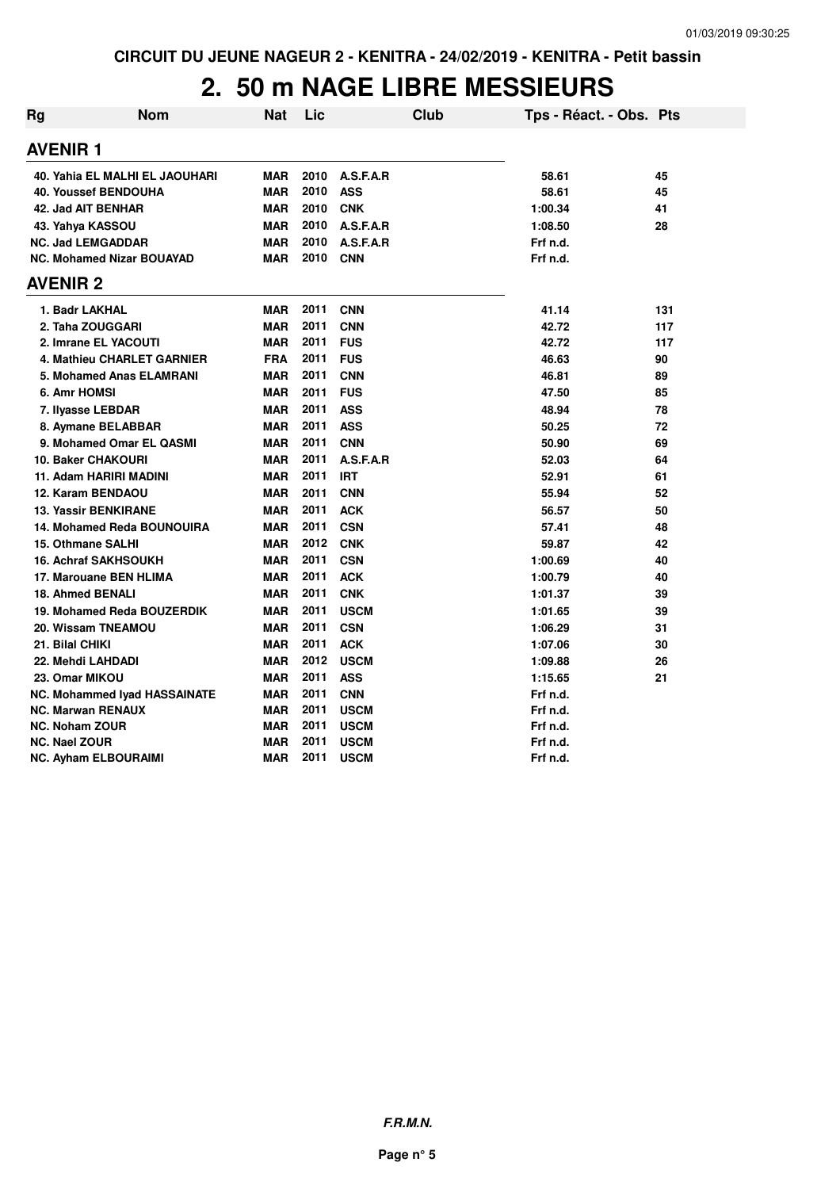## **2. 50 m NAGE LIBRE MESSIEURS**

| Rg | <b>Nom</b>                          | <b>Nat</b> | Lic  |             | <b>Club</b> | Tps - Réact. - Obs. Pts |     |
|----|-------------------------------------|------------|------|-------------|-------------|-------------------------|-----|
|    | <b>AVENIR 1</b>                     |            |      |             |             |                         |     |
|    | 40. Yahia EL MALHI EL JAOUHARI      | <b>MAR</b> | 2010 | A.S.F.A.R   |             | 58.61                   | 45  |
|    | <b>40. Youssef BENDOUHA</b>         | <b>MAR</b> | 2010 | <b>ASS</b>  |             | 58.61                   | 45  |
|    | 42. Jad AIT BENHAR                  | <b>MAR</b> | 2010 | <b>CNK</b>  |             | 1:00.34                 | 41  |
|    | 43. Yahya KASSOU                    | <b>MAR</b> | 2010 | A.S.F.A.R   |             | 1:08.50                 | 28  |
|    | <b>NC. Jad LEMGADDAR</b>            | <b>MAR</b> | 2010 | A.S.F.A.R   |             | Frf n.d.                |     |
|    | <b>NC. Mohamed Nizar BOUAYAD</b>    | <b>MAR</b> | 2010 | CNN         |             | Frf n.d.                |     |
|    | <b>AVENIR 2</b>                     |            |      |             |             |                         |     |
|    | 1. Badr LAKHAL                      | <b>MAR</b> | 2011 | <b>CNN</b>  |             | 41.14                   | 131 |
|    | 2. Taha ZOUGGARI                    | <b>MAR</b> | 2011 | <b>CNN</b>  |             | 42.72                   | 117 |
|    | 2. Imrane EL YACOUTI                | <b>MAR</b> | 2011 | <b>FUS</b>  |             | 42.72                   | 117 |
|    | 4. Mathieu CHARLET GARNIER          | <b>FRA</b> | 2011 | <b>FUS</b>  |             | 46.63                   | 90  |
|    | 5. Mohamed Anas ELAMRANI            | <b>MAR</b> | 2011 | <b>CNN</b>  |             | 46.81                   | 89  |
|    | 6. Amr HOMSI                        | <b>MAR</b> | 2011 | <b>FUS</b>  |             | 47.50                   | 85  |
|    | 7. Ilyasse LEBDAR                   | <b>MAR</b> | 2011 | <b>ASS</b>  |             | 48.94                   | 78  |
|    | 8. Aymane BELABBAR                  | <b>MAR</b> | 2011 | <b>ASS</b>  |             | 50.25                   | 72  |
|    | 9. Mohamed Omar EL QASMI            | <b>MAR</b> | 2011 | <b>CNN</b>  |             | 50.90                   | 69  |
|    | <b>10. Baker CHAKOURI</b>           | <b>MAR</b> | 2011 | A.S.F.A.R   |             | 52.03                   | 64  |
|    | 11. Adam HARIRI MADINI              | MAR        | 2011 | <b>IRT</b>  |             | 52.91                   | 61  |
|    | 12. Karam BENDAOU                   | <b>MAR</b> | 2011 | <b>CNN</b>  |             | 55.94                   | 52  |
|    | <b>13. Yassir BENKIRANE</b>         | <b>MAR</b> | 2011 | <b>ACK</b>  |             | 56.57                   | 50  |
|    | 14. Mohamed Reda BOUNOUIRA          | <b>MAR</b> | 2011 | <b>CSN</b>  |             | 57.41                   | 48  |
|    | 15. Othmane SALHI                   | <b>MAR</b> | 2012 | <b>CNK</b>  |             | 59.87                   | 42  |
|    | <b>16. Achraf SAKHSOUKH</b>         | <b>MAR</b> | 2011 | <b>CSN</b>  |             | 1:00.69                 | 40  |
|    | 17. Marouane BEN HLIMA              | <b>MAR</b> | 2011 | <b>ACK</b>  |             | 1:00.79                 | 40  |
|    | <b>18. Ahmed BENALI</b>             | <b>MAR</b> | 2011 | <b>CNK</b>  |             | 1:01.37                 | 39  |
|    | 19. Mohamed Reda BOUZERDIK          | <b>MAR</b> | 2011 | <b>USCM</b> |             | 1:01.65                 | 39  |
|    | 20. Wissam TNEAMOU                  | <b>MAR</b> | 2011 | <b>CSN</b>  |             | 1:06.29                 | 31  |
|    | 21. Bilal CHIKI                     | <b>MAR</b> | 2011 | <b>ACK</b>  |             | 1:07.06                 | 30  |
|    | 22. Mehdi LAHDADI                   | <b>MAR</b> | 2012 | <b>USCM</b> |             | 1:09.88                 | 26  |
|    | 23. Omar MIKOU                      | <b>MAR</b> | 2011 | <b>ASS</b>  |             | 1:15.65                 | 21  |
|    | <b>NC. Mohammed Iyad HASSAINATE</b> | <b>MAR</b> | 2011 | <b>CNN</b>  |             | Frf n.d.                |     |
|    | <b>NC. Marwan RENAUX</b>            | <b>MAR</b> | 2011 | <b>USCM</b> |             | Frf n.d.                |     |
|    | <b>NC. Noham ZOUR</b>               | <b>MAR</b> | 2011 | <b>USCM</b> |             | Frf n.d.                |     |
|    | <b>NC. Nael ZOUR</b>                | <b>MAR</b> | 2011 | <b>USCM</b> |             | Frf n.d.                |     |
|    | <b>NC. Ayham ELBOURAIMI</b>         | <b>MAR</b> | 2011 | <b>USCM</b> |             | Frf n.d.                |     |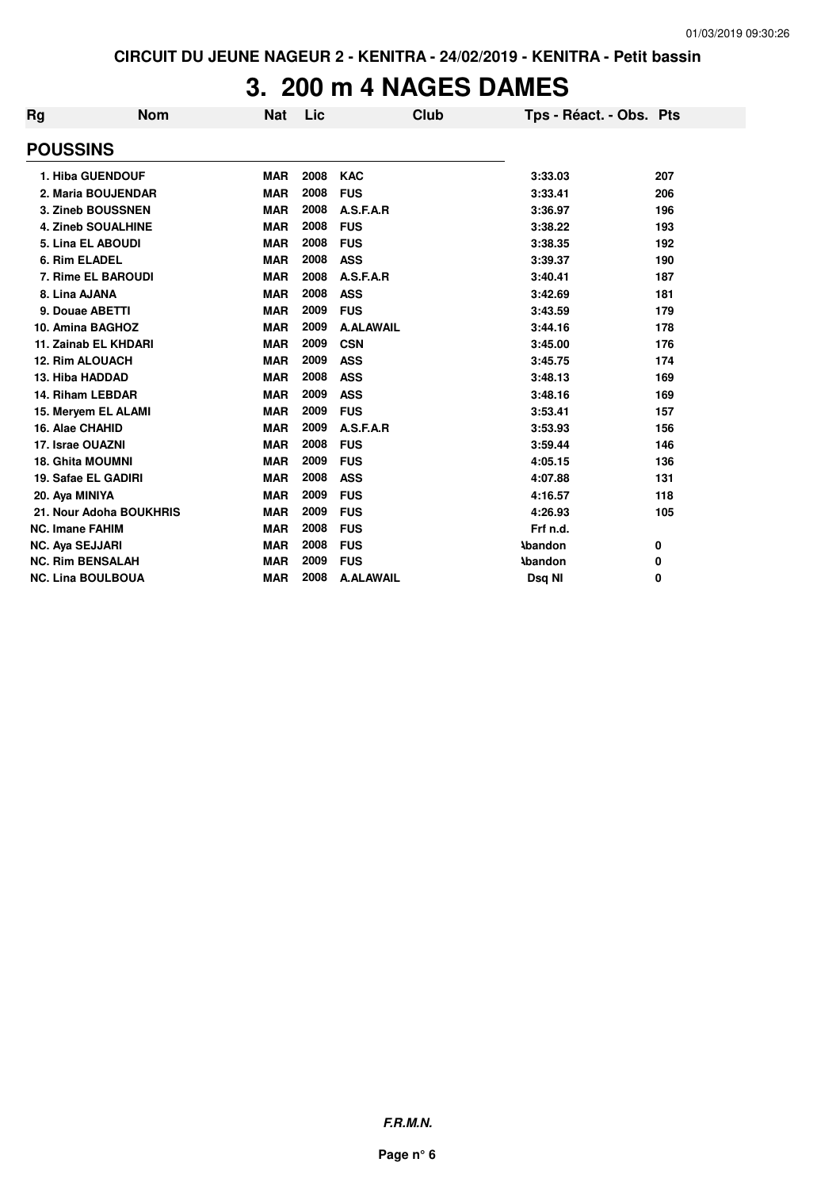## **3. 200 m 4 NAGES DAMES**

| <b>Nom</b>                | <b>Nat</b> | Lic  |                  | <b>Club</b> |                |                                           |
|---------------------------|------------|------|------------------|-------------|----------------|-------------------------------------------|
|                           |            |      |                  |             |                |                                           |
| 1. Hiba GUENDOUF          | <b>MAR</b> | 2008 | <b>KAC</b>       |             | 3:33.03        | 207                                       |
| 2. Maria BOUJENDAR        | <b>MAR</b> | 2008 | <b>FUS</b>       |             | 3:33.41        | 206                                       |
| 3. Zineb BOUSSNEN         | <b>MAR</b> | 2008 | A.S.F.A.R        |             | 3:36.97        | 196                                       |
| <b>4. Zineb SOUALHINE</b> | <b>MAR</b> | 2008 | <b>FUS</b>       |             | 3:38.22        | 193                                       |
| 5. Lina EL ABOUDI         | <b>MAR</b> | 2008 | <b>FUS</b>       |             | 3:38.35        | 192                                       |
|                           | <b>MAR</b> | 2008 | <b>ASS</b>       |             | 3:39.37        | 190                                       |
| 7. Rime EL BAROUDI        | <b>MAR</b> | 2008 | A.S.F.A.R        |             | 3:40.41        | 187                                       |
|                           | <b>MAR</b> | 2008 | <b>ASS</b>       |             | 3:42.69        | 181                                       |
| 9. Douae ABETTI           | <b>MAR</b> | 2009 | <b>FUS</b>       |             | 3:43.59        | 179                                       |
| 10. Amina BAGHOZ          | <b>MAR</b> | 2009 | <b>A.ALAWAIL</b> |             | 3:44.16        | 178                                       |
| 11. Zainab EL KHDARI      | <b>MAR</b> | 2009 | <b>CSN</b>       |             | 3:45.00        | 176                                       |
| <b>12. Rim ALOUACH</b>    | <b>MAR</b> | 2009 | <b>ASS</b>       |             | 3:45.75        | 174                                       |
|                           | <b>MAR</b> | 2008 | <b>ASS</b>       |             | 3:48.13        | 169                                       |
| 14. Riham LEBDAR          | <b>MAR</b> | 2009 | <b>ASS</b>       |             | 3:48.16        | 169                                       |
| 15. Meryem EL ALAMI       | <b>MAR</b> | 2009 | <b>FUS</b>       |             | 3:53.41        | 157                                       |
|                           | <b>MAR</b> | 2009 | A.S.F.A.R        |             | 3:53.93        | 156                                       |
|                           | <b>MAR</b> | 2008 | <b>FUS</b>       |             | 3:59.44        | 146                                       |
| <b>18. Ghita MOUMNI</b>   | <b>MAR</b> | 2009 | <b>FUS</b>       |             | 4:05.15        | 136                                       |
| 19. Safae EL GADIRI       | <b>MAR</b> | 2008 | <b>ASS</b>       |             | 4:07.88        | 131                                       |
|                           | <b>MAR</b> | 2009 | <b>FUS</b>       |             | 4:16.57        | 118                                       |
| 21. Nour Adoha BOUKHRIS   | <b>MAR</b> | 2009 | <b>FUS</b>       |             | 4:26.93        | 105                                       |
|                           | <b>MAR</b> | 2008 | <b>FUS</b>       |             | Frf n.d.       |                                           |
|                           | <b>MAR</b> | 2008 | <b>FUS</b>       |             |                | 0                                         |
| <b>NC. Rim BENSALAH</b>   | <b>MAR</b> | 2009 | <b>FUS</b>       |             | <b>\bandon</b> | 0                                         |
| <b>NC. Lina BOULBOUA</b>  | <b>MAR</b> | 2008 | <b>A.ALAWAIL</b> |             | Dsq NI         | 0                                         |
|                           |            |      |                  |             |                | Tps - Réact. - Obs. Pts<br><b>\bandon</b> |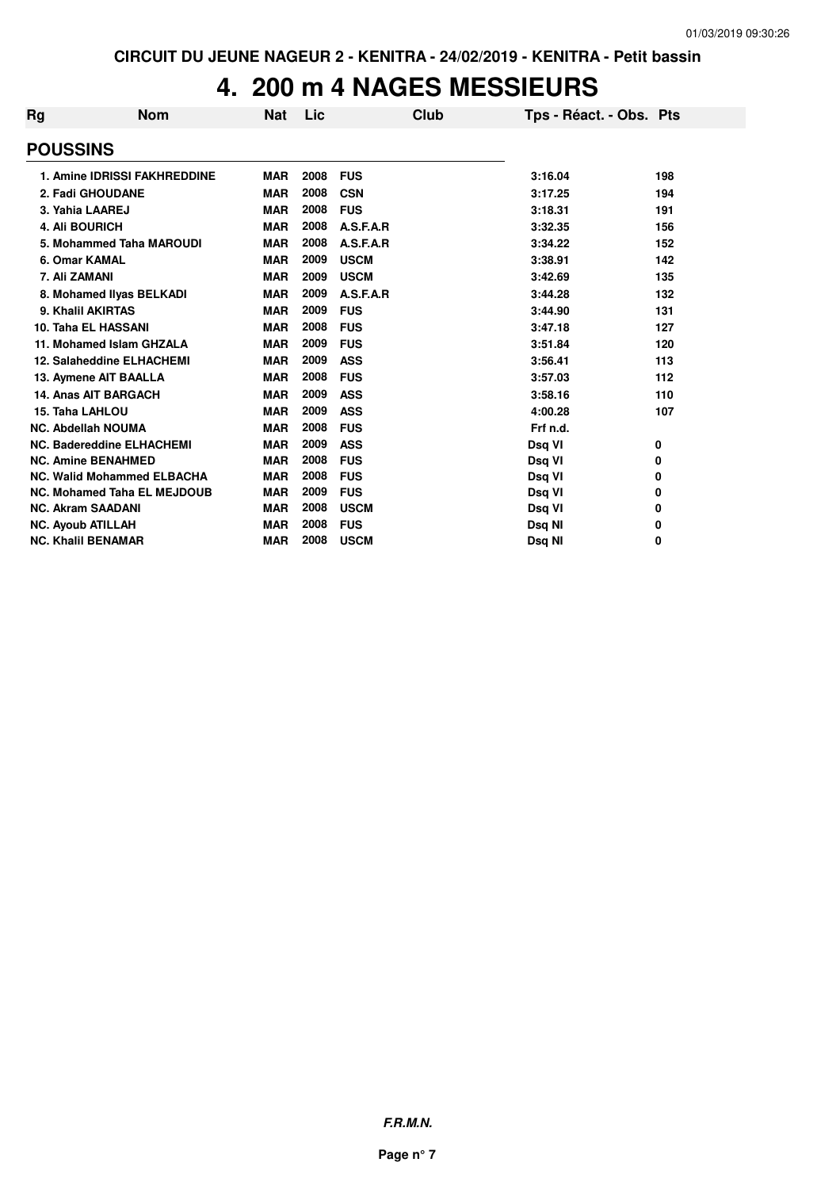# **4. 200 m 4 NAGES MESSIEURS**

| Rg | <b>Nom</b>                         | <b>Nat</b> | Lic  | Club        | Tps - Réact. - Obs. Pts |     |
|----|------------------------------------|------------|------|-------------|-------------------------|-----|
|    | <b>POUSSINS</b>                    |            |      |             |                         |     |
|    | 1. Amine IDRISSI FAKHREDDINE       | <b>MAR</b> | 2008 | <b>FUS</b>  | 3:16.04                 | 198 |
|    | 2. Fadi GHOUDANE                   | <b>MAR</b> | 2008 | <b>CSN</b>  | 3:17.25                 | 194 |
|    | 3. Yahia LAAREJ                    | <b>MAR</b> | 2008 | <b>FUS</b>  | 3:18.31                 | 191 |
|    | 4. Ali BOURICH                     | <b>MAR</b> | 2008 | A.S.F.A.R   | 3:32.35                 | 156 |
|    | 5. Mohammed Taha MAROUDI           | <b>MAR</b> | 2008 | A.S.F.A.R   | 3:34.22                 | 152 |
|    | 6. Omar KAMAL                      | <b>MAR</b> | 2009 | <b>USCM</b> | 3:38.91                 | 142 |
|    | 7. Ali ZAMANI                      | <b>MAR</b> | 2009 | <b>USCM</b> | 3:42.69                 | 135 |
|    | 8. Mohamed Ilyas BELKADI           | <b>MAR</b> | 2009 | A.S.F.A.R   | 3:44.28                 | 132 |
|    | 9. Khalil AKIRTAS                  | <b>MAR</b> | 2009 | <b>FUS</b>  | 3:44.90                 | 131 |
|    | 10. Taha EL HASSANI                | <b>MAR</b> | 2008 | <b>FUS</b>  | 3:47.18                 | 127 |
|    | 11. Mohamed Islam GHZALA           | <b>MAR</b> | 2009 | <b>FUS</b>  | 3:51.84                 | 120 |
|    | 12. Salaheddine ELHACHEMI          | <b>MAR</b> | 2009 | <b>ASS</b>  | 3:56.41                 | 113 |
|    | 13. Aymene AIT BAALLA              | <b>MAR</b> | 2008 | <b>FUS</b>  | 3:57.03                 | 112 |
|    | <b>14. Anas AIT BARGACH</b>        | <b>MAR</b> | 2009 | <b>ASS</b>  | 3:58.16                 | 110 |
|    | 15. Taha LAHLOU                    | <b>MAR</b> | 2009 | <b>ASS</b>  | 4:00.28                 | 107 |
|    | <b>NC. Abdellah NOUMA</b>          | <b>MAR</b> | 2008 | <b>FUS</b>  | Frf n.d.                |     |
|    | <b>NC. Badereddine ELHACHEMI</b>   | <b>MAR</b> | 2009 | <b>ASS</b>  | Dsq VI                  | 0   |
|    | <b>NC. Amine BENAHMED</b>          | <b>MAR</b> | 2008 | <b>FUS</b>  | Dsq VI                  | 0   |
|    | <b>NC. Walid Mohammed ELBACHA</b>  | <b>MAR</b> | 2008 | <b>FUS</b>  | Dsq VI                  | 0   |
|    | <b>NC. Mohamed Taha EL MEJDOUB</b> | <b>MAR</b> | 2009 | <b>FUS</b>  | Dsq VI                  | 0   |
|    | <b>NC. Akram SAADANI</b>           | <b>MAR</b> | 2008 | <b>USCM</b> | Dsq VI                  | 0   |
|    | <b>NC. Ayoub ATILLAH</b>           | <b>MAR</b> | 2008 | <b>FUS</b>  | Dsq NI                  | 0   |
|    | <b>NC. Khalil BENAMAR</b>          | <b>MAR</b> | 2008 | <b>USCM</b> | Dsq NI                  | 0   |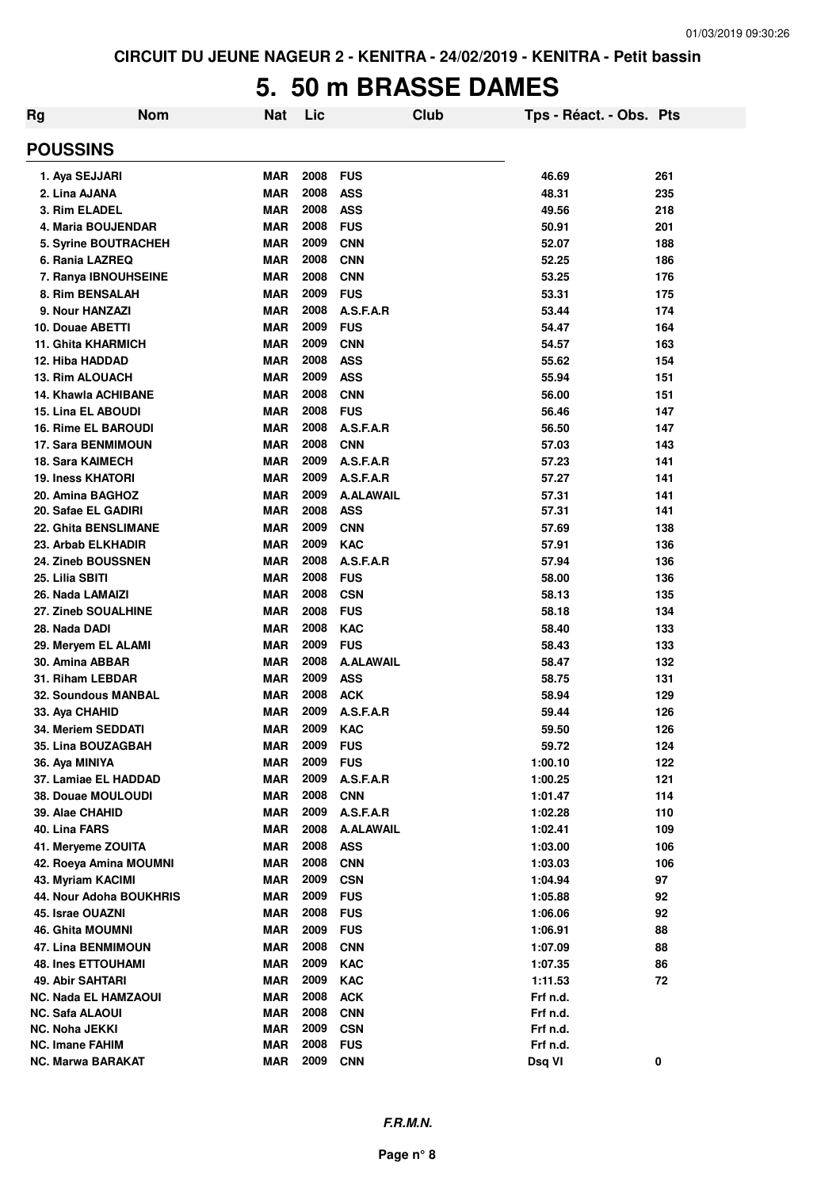#### **5. 50 m BRASSE DAMES**

| Rg              | <b>Nom</b>                  | Nat        | Lic  |                  | <b>Club</b> | Tps - Réact. - Obs. Pts |     |
|-----------------|-----------------------------|------------|------|------------------|-------------|-------------------------|-----|
| <b>POUSSINS</b> |                             |            |      |                  |             |                         |     |
|                 | 1. Aya SEJJARI              | <b>MAR</b> | 2008 | <b>FUS</b>       |             | 46.69                   | 261 |
| 2. Lina AJANA   |                             | <b>MAR</b> | 2008 | <b>ASS</b>       |             | 48.31                   | 235 |
|                 | 3. Rim ELADEL               | <b>MAR</b> | 2008 | <b>ASS</b>       |             | 49.56                   | 218 |
|                 | 4. Maria BOUJENDAR          | <b>MAR</b> | 2008 | <b>FUS</b>       |             | 50.91                   | 201 |
|                 | 5. Syrine BOUTRACHEH        | <b>MAR</b> | 2009 | <b>CNN</b>       |             | 52.07                   | 188 |
|                 | 6. Rania LAZREQ             | <b>MAR</b> | 2008 | <b>CNN</b>       |             | 52.25                   | 186 |
|                 | 7. Ranya IBNOUHSEINE        | <b>MAR</b> | 2008 | <b>CNN</b>       |             | 53.25                   | 176 |
|                 | 8. Rim BENSALAH             | <b>MAR</b> | 2009 | <b>FUS</b>       |             | 53.31                   | 175 |
|                 | 9. Nour HANZAZI             | <b>MAR</b> | 2008 | A.S.F.A.R        |             | 53.44                   | 174 |
|                 | 10. Douae ABETTI            | <b>MAR</b> | 2009 | <b>FUS</b>       |             | 54.47                   | 164 |
|                 | <b>11. Ghita KHARMICH</b>   | <b>MAR</b> | 2009 | <b>CNN</b>       |             | 54.57                   | 163 |
|                 | 12. Hiba HADDAD             | <b>MAR</b> | 2008 | <b>ASS</b>       |             | 55.62                   | 154 |
|                 | <b>13. Rim ALOUACH</b>      | <b>MAR</b> | 2009 | <b>ASS</b>       |             | 55.94                   | 151 |
|                 | <b>14. Khawla ACHIBANE</b>  | <b>MAR</b> | 2008 | <b>CNN</b>       |             | 56.00                   | 151 |
|                 | <b>15. Lina EL ABOUDI</b>   | <b>MAR</b> | 2008 | <b>FUS</b>       |             | 56.46                   | 147 |
|                 | <b>16. Rime EL BAROUDI</b>  | <b>MAR</b> | 2008 | A.S.F.A.R        |             | 56.50                   | 147 |
|                 | <b>17. Sara BENMIMOUN</b>   | <b>MAR</b> | 2008 | <b>CNN</b>       |             | 57.03                   | 143 |
|                 | <b>18. Sara KAIMECH</b>     | <b>MAR</b> | 2009 | A.S.F.A.R        |             | 57.23                   | 141 |
|                 | <b>19. Iness KHATORI</b>    | <b>MAR</b> | 2009 | A.S.F.A.R        |             | 57.27                   | 141 |
|                 | 20. Amina BAGHOZ            | <b>MAR</b> | 2009 | <b>A.ALAWAIL</b> |             | 57.31                   | 141 |
|                 | 20. Safae EL GADIRI         | <b>MAR</b> | 2008 | <b>ASS</b>       |             | 57.31                   | 141 |
|                 | 22. Ghita BENSLIMANE        | <b>MAR</b> | 2009 | <b>CNN</b>       |             | 57.69                   | 138 |
|                 | 23. Arbab ELKHADIR          | <b>MAR</b> | 2009 | <b>KAC</b>       |             | 57.91                   | 136 |
|                 | 24. Zineb BOUSSNEN          | <b>MAR</b> | 2008 | A.S.F.A.R        |             | 57.94                   | 136 |
| 25. Lilia SBITI |                             | <b>MAR</b> | 2008 | <b>FUS</b>       |             | 58.00                   | 136 |
|                 | 26. Nada LAMAIZI            | <b>MAR</b> | 2008 | <b>CSN</b>       |             | 58.13                   | 135 |
|                 | 27. Zineb SOUALHINE         | <b>MAR</b> | 2008 | <b>FUS</b>       |             | 58.18                   | 134 |
| 28. Nada DADI   |                             | <b>MAR</b> | 2008 | <b>KAC</b>       |             | 58.40                   | 133 |
|                 | 29. Meryem EL ALAMI         | <b>MAR</b> | 2009 | <b>FUS</b>       |             | 58.43                   | 133 |
|                 | 30. Amina ABBAR             | <b>MAR</b> | 2008 | <b>A.ALAWAIL</b> |             | 58.47                   | 132 |
|                 | 31. Riham LEBDAR            | <b>MAR</b> | 2009 | <b>ASS</b>       |             | 58.75                   | 131 |
|                 | 32. Soundous MANBAL         | <b>MAR</b> | 2008 | <b>ACK</b>       |             | 58.94                   | 129 |
| 33. Aya CHAHID  |                             | <b>MAR</b> | 2009 | A.S.F.A.R        |             | 59.44                   | 126 |
|                 | 34. Meriem SEDDATI          | <b>MAR</b> | 2009 | <b>KAC</b>       |             | 59.50                   | 126 |
|                 | 35. Lina BOUZAGBAH          | <b>MAR</b> | 2009 | <b>FUS</b>       |             | 59.72                   | 124 |
| 36. Aya MINIYA  |                             | <b>MAR</b> | 2009 | <b>FUS</b>       |             | 1:00.10                 | 122 |
|                 | 37. Lamiae EL HADDAD        | <b>MAR</b> | 2009 | A.S.F.A.R        |             | 1:00.25                 | 121 |
|                 | 38. Douae MOULOUDI          | <b>MAR</b> | 2008 | <b>CNN</b>       |             | 1:01.47                 | 114 |
| 39. Alae CHAHID |                             | <b>MAR</b> | 2009 | A.S.F.A.R        |             | 1:02.28                 | 110 |
| 40. Lina FARS   |                             | <b>MAR</b> | 2008 | <b>A.ALAWAIL</b> |             | 1:02.41                 | 109 |
|                 | 41. Meryeme ZOUITA          | <b>MAR</b> | 2008 | <b>ASS</b>       |             | 1:03.00                 | 106 |
|                 | 42. Roeya Amina MOUMNI      | <b>MAR</b> | 2008 | <b>CNN</b>       |             | 1:03.03                 | 106 |
|                 | 43. Myriam KACIMI           | <b>MAR</b> | 2009 | <b>CSN</b>       |             | 1:04.94                 | 97  |
|                 | 44. Nour Adoha BOUKHRIS     | <b>MAR</b> | 2009 | <b>FUS</b>       |             | 1:05.88                 | 92  |
|                 | 45. Israe OUAZNI            | <b>MAR</b> | 2008 | <b>FUS</b>       |             | 1:06.06                 | 92  |
|                 | 46. Ghita MOUMNI            | <b>MAR</b> | 2009 | <b>FUS</b>       |             | 1:06.91                 | 88  |
|                 | 47. Lina BENMIMOUN          | <b>MAR</b> | 2008 | <b>CNN</b>       |             | 1:07.09                 | 88  |
|                 | <b>48. Ines ETTOUHAMI</b>   | <b>MAR</b> | 2009 | <b>KAC</b>       |             | 1:07.35                 | 86  |
|                 | 49. Abir SAHTARI            | <b>MAR</b> | 2009 | <b>KAC</b>       |             | 1:11.53                 | 72  |
|                 | <b>NC. Nada EL HAMZAOUI</b> | <b>MAR</b> | 2008 | <b>ACK</b>       |             | Frf n.d.                |     |
| NC. Safa ALAOUI |                             | <b>MAR</b> | 2008 | <b>CNN</b>       |             | Frf n.d.                |     |
| NC. Noha JEKKI  |                             | <b>MAR</b> | 2009 | <b>CSN</b>       |             | Frf n.d.                |     |
| NC. Imane FAHIM |                             | <b>MAR</b> | 2008 | <b>FUS</b>       |             | Frf n.d.                |     |
|                 | <b>NC. Marwa BARAKAT</b>    | <b>MAR</b> | 2009 | <b>CNN</b>       |             | Dsq VI                  | 0   |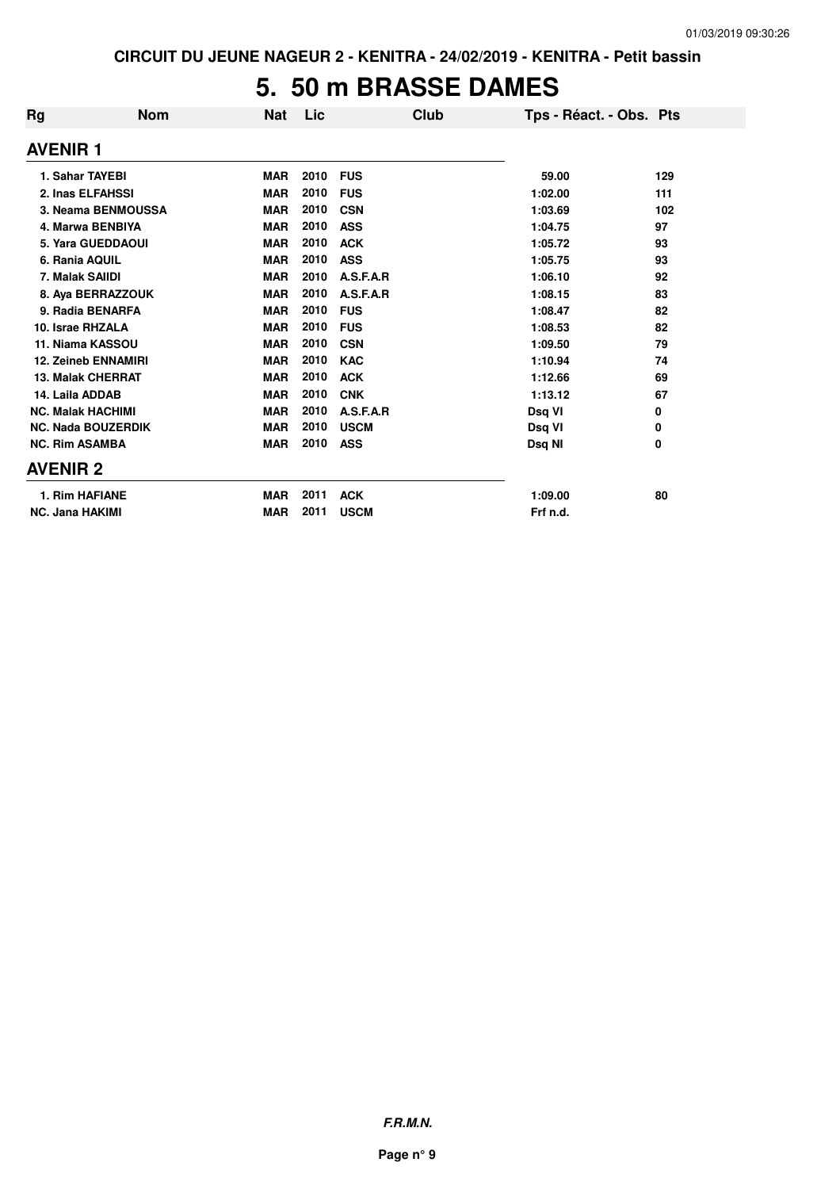## **5. 50 m BRASSE DAMES**

| Rg                         | <b>Nom</b><br><b>Nat</b> | Lic  |             | Club | Tps - Réact. - Obs. Pts |     |
|----------------------------|--------------------------|------|-------------|------|-------------------------|-----|
| <b>AVENIR1</b>             |                          |      |             |      |                         |     |
| 1. Sahar TAYEBI            | <b>MAR</b>               | 2010 | <b>FUS</b>  |      | 59.00                   | 129 |
| 2. Inas ELFAHSSI           | <b>MAR</b>               | 2010 | <b>FUS</b>  |      | 1:02.00                 | 111 |
| 3. Neama BENMOUSSA         | <b>MAR</b>               | 2010 | <b>CSN</b>  |      | 1:03.69                 | 102 |
| 4. Marwa BENBIYA           | <b>MAR</b>               | 2010 | <b>ASS</b>  |      | 1:04.75                 | 97  |
| 5. Yara GUEDDAOUI          | <b>MAR</b>               | 2010 | <b>ACK</b>  |      | 1:05.72                 | 93  |
| 6. Rania AQUIL             | <b>MAR</b>               | 2010 | <b>ASS</b>  |      | 1:05.75                 | 93  |
| 7. Malak SAIIDI            | <b>MAR</b>               | 2010 | A.S.F.A.R   |      | 1:06.10                 | 92  |
| 8. Aya BERRAZZOUK          | <b>MAR</b>               | 2010 | A.S.F.A.R   |      | 1:08.15                 | 83  |
| 9. Radia BENARFA           | <b>MAR</b>               | 2010 | <b>FUS</b>  |      | 1:08.47                 | 82  |
| 10. Israe RHZALA           | <b>MAR</b>               | 2010 | <b>FUS</b>  |      | 1:08.53                 | 82  |
| 11. Niama KASSOU           | <b>MAR</b>               | 2010 | <b>CSN</b>  |      | 1:09.50                 | 79  |
| <b>12. Zeineb ENNAMIRI</b> | <b>MAR</b>               | 2010 | <b>KAC</b>  |      | 1:10.94                 | 74  |
| <b>13. Malak CHERRAT</b>   | <b>MAR</b>               | 2010 | <b>ACK</b>  |      | 1:12.66                 | 69  |
| 14. Laila ADDAB            | <b>MAR</b>               | 2010 | <b>CNK</b>  |      | 1:13.12                 | 67  |
| <b>NC. Malak HACHIMI</b>   | <b>MAR</b>               | 2010 | A.S.F.A.R   |      | Dsq VI                  | 0   |
| <b>NC. Nada BOUZERDIK</b>  | <b>MAR</b>               | 2010 | <b>USCM</b> |      | Dsq VI                  | 0   |
| <b>NC. Rim ASAMBA</b>      | <b>MAR</b>               | 2010 | <b>ASS</b>  |      | Dsq NI                  | 0   |
| <b>AVENIR 2</b>            |                          |      |             |      |                         |     |
| 1. Rim HAFIANE             | <b>MAR</b>               | 2011 | <b>ACK</b>  |      | 1:09.00                 | 80  |
| <b>NC. Jana HAKIMI</b>     | <b>MAR</b>               | 2011 | <b>USCM</b> |      | Frf n.d.                |     |

**F.R.M.N.**

**Page n° 9**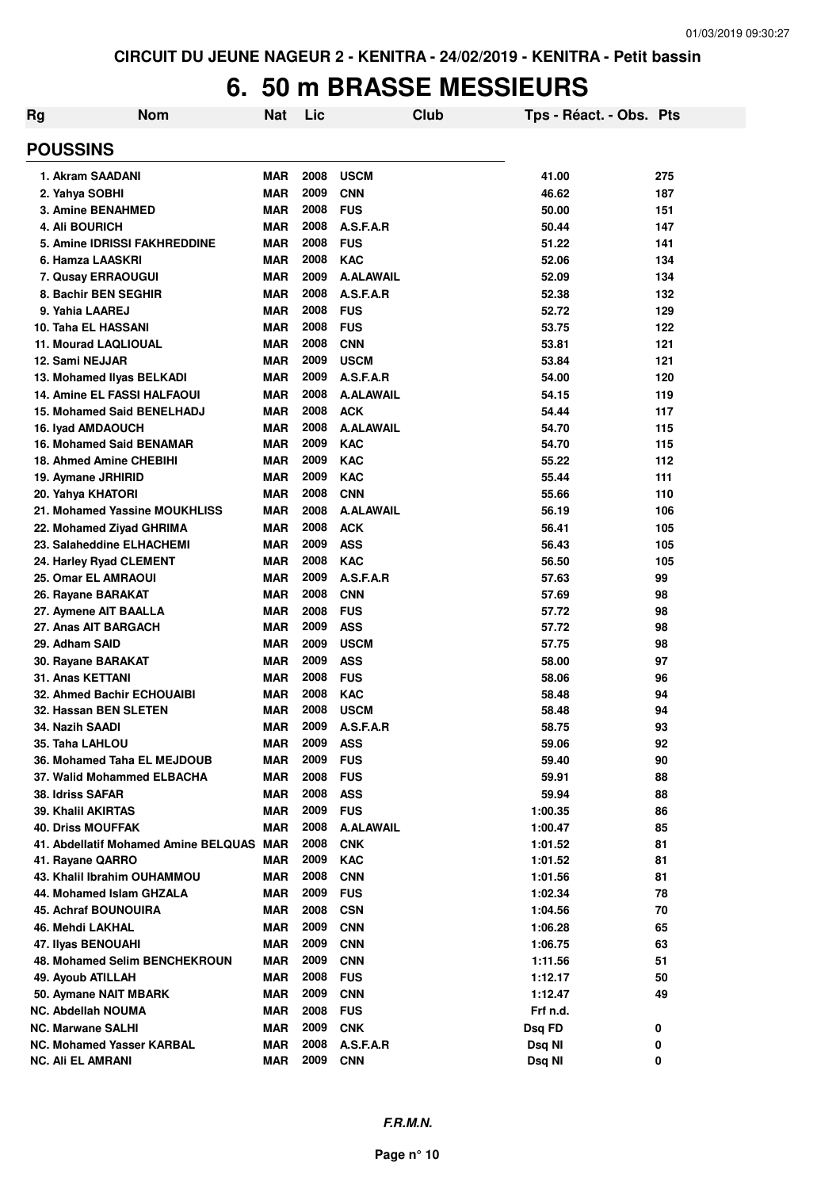#### **6. 50 m BRASSE MESSIEURS**

| Rg                                            | <b>Nom</b>                               | <b>Nat</b>               | Lic          |                          | Club | Tps - Réact. - Obs. Pts |          |
|-----------------------------------------------|------------------------------------------|--------------------------|--------------|--------------------------|------|-------------------------|----------|
| <b>POUSSINS</b>                               |                                          |                          |              |                          |      |                         |          |
| 1. Akram SAADANI                              |                                          | <b>MAR</b>               | 2008         | <b>USCM</b>              |      | 41.00                   | 275      |
| 2. Yahya SOBHI                                |                                          | <b>MAR</b>               | 2009         | <b>CNN</b>               |      | 46.62                   | 187      |
| 3. Amine BENAHMED                             |                                          | <b>MAR</b>               | 2008         | <b>FUS</b>               |      | 50.00                   | 151      |
| <b>4. Ali BOURICH</b>                         |                                          | <b>MAR</b>               | 2008         | A.S.F.A.R                |      | 50.44                   | 147      |
|                                               | 5. Amine IDRISSI FAKHREDDINE             | <b>MAR</b>               | 2008         | <b>FUS</b>               |      | 51.22                   | 141      |
| 6. Hamza LAASKRI                              |                                          | <b>MAR</b>               | 2008         | <b>KAC</b>               |      | 52.06                   | 134      |
| 7. Qusay ERRAOUGUI                            |                                          | <b>MAR</b>               | 2009         | <b>A.ALAWAIL</b>         |      | 52.09                   | 134      |
| 8. Bachir BEN SEGHIR                          |                                          | <b>MAR</b>               | 2008         | A.S.F.A.R                |      | 52.38                   | 132      |
| 9. Yahia LAAREJ                               |                                          | <b>MAR</b>               | 2008         | <b>FUS</b>               |      | 52.72                   | 129      |
| 10. Taha EL HASSANI                           |                                          | <b>MAR</b>               | 2008         | <b>FUS</b>               |      | 53.75                   | 122      |
| <b>11. Mourad LAQLIOUAL</b>                   |                                          | <b>MAR</b>               | 2008         | <b>CNN</b>               |      | 53.81                   | 121      |
| 12. Sami NEJJAR                               |                                          | <b>MAR</b>               | 2009         | <b>USCM</b>              |      | 53.84                   | 121      |
| 13. Mohamed Ilyas BELKADI                     |                                          | <b>MAR</b>               | 2009         | A.S.F.A.R                |      | 54.00                   | 120      |
|                                               | <b>14. Amine EL FASSI HALFAOUI</b>       | <b>MAR</b>               | 2008         | <b>A.ALAWAIL</b>         |      | 54.15                   | 119      |
|                                               | <b>15. Mohamed Said BENELHADJ</b>        | <b>MAR</b>               | 2008         | <b>ACK</b>               |      | 54.44                   | 117      |
| 16. Iyad AMDAOUCH                             |                                          | <b>MAR</b>               | 2008         | <b>A.ALAWAIL</b>         |      | 54.70                   | 115      |
|                                               | <b>16. Mohamed Said BENAMAR</b>          | <b>MAR</b>               | 2009         | <b>KAC</b>               |      | 54.70                   | 115      |
| 18. Ahmed Amine CHEBIHI                       |                                          | <b>MAR</b>               | 2009         | <b>KAC</b>               |      | 55.22                   | 112      |
| 19. Aymane JRHIRID                            |                                          | <b>MAR</b>               | 2009         | <b>KAC</b>               |      | 55.44                   | 111      |
| 20. Yahya KHATORI                             |                                          | <b>MAR</b>               | 2008         | <b>CNN</b>               |      | 55.66                   | 110      |
|                                               | 21. Mohamed Yassine MOUKHLISS            | <b>MAR</b>               | 2008         | <b>A.ALAWAIL</b>         |      | 56.19                   | 106      |
| 22. Mohamed Ziyad GHRIMA                      |                                          | <b>MAR</b>               | 2008         | <b>ACK</b>               |      | 56.41                   | 105      |
| 23. Salaheddine ELHACHEMI                     |                                          | <b>MAR</b>               | 2009         | <b>ASS</b>               |      | 56.43                   | 105      |
| 24. Harley Ryad CLEMENT                       |                                          | <b>MAR</b>               | 2008         | <b>KAC</b>               |      | 56.50                   | 105      |
| 25. Omar EL AMRAOUI                           |                                          | <b>MAR</b>               | 2009         | A.S.F.A.R                |      | 57.63                   | 99       |
| 26. Rayane BARAKAT                            |                                          | <b>MAR</b>               | 2008         | <b>CNN</b>               |      | 57.69                   | 98       |
| 27. Aymene AIT BAALLA<br>27. Anas AIT BARGACH |                                          | <b>MAR</b><br><b>MAR</b> | 2008<br>2009 | <b>FUS</b><br><b>ASS</b> |      | 57.72<br>57.72          | 98<br>98 |
| 29. Adham SAID                                |                                          | <b>MAR</b>               | 2009         | <b>USCM</b>              |      | 57.75                   | 98       |
| 30. Rayane BARAKAT                            |                                          | <b>MAR</b>               | 2009         | <b>ASS</b>               |      | 58.00                   | 97       |
| 31. Anas KETTANI                              |                                          | <b>MAR</b>               | 2008         | <b>FUS</b>               |      | 58.06                   | 96       |
|                                               | 32. Ahmed Bachir ECHOUAIBI               | <b>MAR</b>               | 2008         | <b>KAC</b>               |      | 58.48                   | 94       |
| 32. Hassan BEN SLETEN                         |                                          | <b>MAR</b>               | 2008         | <b>USCM</b>              |      | 58.48                   | 94       |
| 34. Nazih SAADI                               |                                          | <b>MAR</b>               | 2009         | A.S.F.A.R                |      | 58.75                   | 93       |
| 35. Taha LAHLOU                               |                                          | MAR                      | 2009         | ASS                      |      | 59.06                   | 92       |
|                                               | 36. Mohamed Taha EL MEJDOUB              | MAR                      | 2009         | <b>FUS</b>               |      | 59.40                   | 90       |
|                                               | 37. Walid Mohammed ELBACHA               | <b>MAR</b>               | 2008         | <b>FUS</b>               |      | 59.91                   | 88       |
| 38. Idriss SAFAR                              |                                          | <b>MAR</b>               | 2008         | <b>ASS</b>               |      | 59.94                   | 88       |
| 39. Khalil AKIRTAS                            |                                          | <b>MAR</b>               | 2009         | <b>FUS</b>               |      | 1:00.35                 | 86       |
| <b>40. Driss MOUFFAK</b>                      |                                          | <b>MAR</b>               | 2008         | <b>A.ALAWAIL</b>         |      | 1:00.47                 | 85       |
|                                               | 41. Abdellatif Mohamed Amine BELQUAS MAR |                          | 2008         | <b>CNK</b>               |      | 1:01.52                 | 81       |
| 41. Rayane QARRO                              |                                          | MAR                      | 2009         | <b>KAC</b>               |      | 1:01.52                 | 81       |
|                                               | 43. Khalil Ibrahim OUHAMMOU              | MAR                      | 2008         | <b>CNN</b>               |      | 1:01.56                 | 81       |
| 44. Mohamed Islam GHZALA                      |                                          | MAR                      | 2009         | <b>FUS</b>               |      | 1:02.34                 | 78       |
| <b>45. Achraf BOUNOUIRA</b>                   |                                          | MAR                      | 2008         | <b>CSN</b>               |      | 1:04.56                 | 70       |
| 46. Mehdi LAKHAL                              |                                          | MAR                      | 2009         | <b>CNN</b>               |      | 1:06.28                 | 65       |
| 47. Ilyas BENOUAHI                            |                                          | MAR                      | 2009         | <b>CNN</b>               |      | 1:06.75                 | 63       |
|                                               | 48. Mohamed Selim BENCHEKROUN            | MAR                      | 2009         | <b>CNN</b>               |      | 1:11.56                 | 51       |
| 49. Ayoub ATILLAH                             |                                          | MAR                      | 2008         | <b>FUS</b>               |      | 1:12.17                 | 50       |
| 50. Aymane NAIT MBARK                         |                                          | MAR                      | 2009         | <b>CNN</b>               |      | 1:12.47                 | 49       |
| <b>NC. Abdellah NOUMA</b>                     |                                          | MAR                      | 2008         | <b>FUS</b>               |      | Frf n.d.                |          |
| <b>NC. Marwane SALHI</b>                      |                                          | MAR                      | 2009         | <b>CNK</b>               |      | Dsq FD                  | 0        |
| <b>NC. Mohamed Yasser KARBAL</b>              |                                          | MAR                      | 2008         | A.S.F.A.R                |      | Dsq NI                  | 0        |
| <b>NC. Ali EL AMRANI</b>                      |                                          | <b>MAR</b>               | 2009         | <b>CNN</b>               |      | Dsq NI                  | 0        |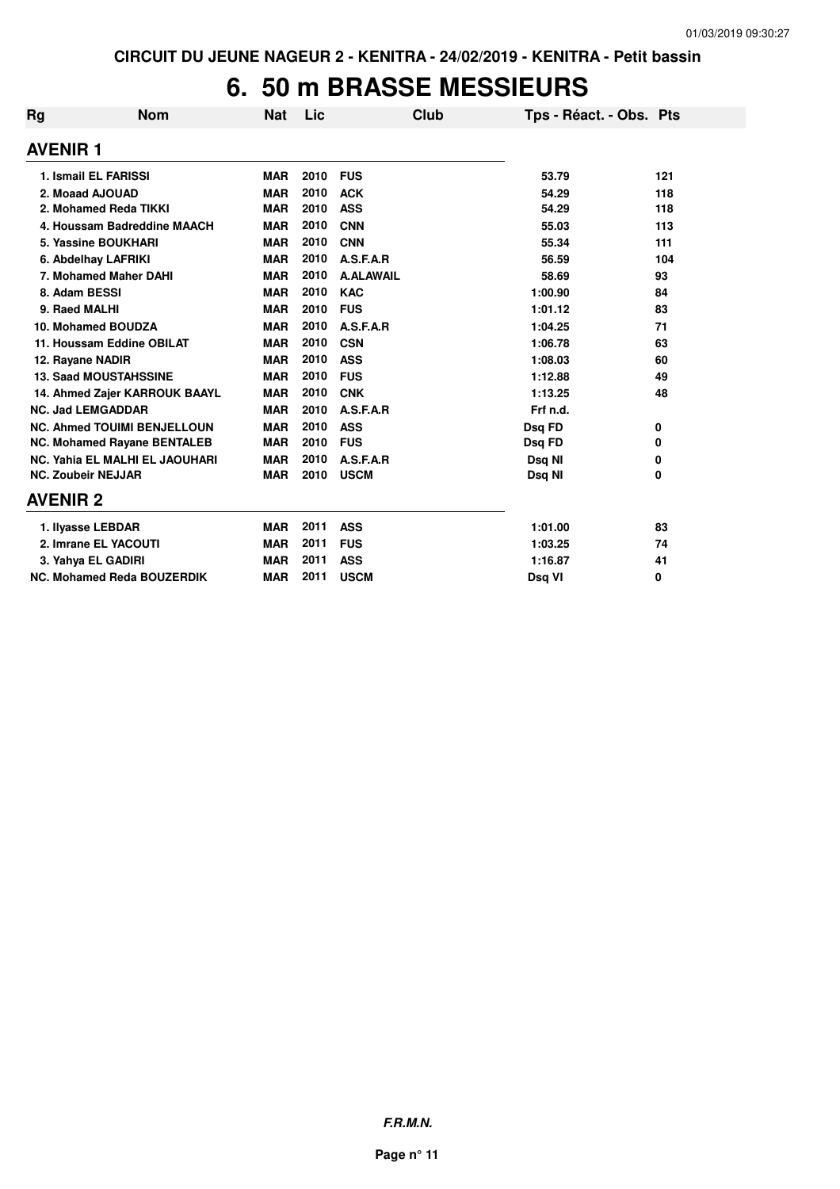## **6. 50 m BRASSE MESSIEURS**

| Rg                        | <b>Nom</b>                         | <b>Nat</b> | Lic  | Club             | Tps - Réact. - Obs. Pts |     |
|---------------------------|------------------------------------|------------|------|------------------|-------------------------|-----|
| <b>AVENIR1</b>            |                                    |            |      |                  |                         |     |
| 1. Ismail EL FARISSI      |                                    | <b>MAR</b> | 2010 | <b>FUS</b>       | 53.79                   | 121 |
| 2. Moaad AJOUAD           |                                    | <b>MAR</b> | 2010 | <b>ACK</b>       | 54.29                   | 118 |
|                           | 2. Mohamed Reda TIKKI              | <b>MAR</b> | 2010 | <b>ASS</b>       | 54.29                   | 118 |
|                           | 4. Houssam Badreddine MAACH        | <b>MAR</b> | 2010 | <b>CNN</b>       | 55.03                   | 113 |
|                           | 5. Yassine BOUKHARI                | <b>MAR</b> | 2010 | <b>CNN</b>       | 55.34                   | 111 |
|                           | 6. Abdelhay LAFRIKI                | <b>MAR</b> | 2010 | A.S.F.A.R        | 56.59                   | 104 |
|                           | 7. Mohamed Maher DAHI              | <b>MAR</b> | 2010 | <b>A.ALAWAIL</b> | 58.69                   | 93  |
| 8. Adam BESSI             |                                    | <b>MAR</b> | 2010 | <b>KAC</b>       | 1:00.90                 | 84  |
| 9. Raed MALHI             |                                    | <b>MAR</b> | 2010 | <b>FUS</b>       | 1:01.12                 | 83  |
|                           | 10. Mohamed BOUDZA                 | <b>MAR</b> | 2010 | A.S.F.A.R        | 1:04.25                 | 71  |
|                           | 11. Houssam Eddine OBILAT          | <b>MAR</b> | 2010 | <b>CSN</b>       | 1:06.78                 | 63  |
| 12. Rayane NADIR          |                                    | <b>MAR</b> | 2010 | <b>ASS</b>       | 1:08.03                 | 60  |
|                           | <b>13. Saad MOUSTAHSSINE</b>       | <b>MAR</b> | 2010 | <b>FUS</b>       | 1:12.88                 | 49  |
|                           | 14. Ahmed Zajer KARROUK BAAYL      | <b>MAR</b> | 2010 | <b>CNK</b>       | 1:13.25                 | 48  |
| <b>NC. Jad LEMGADDAR</b>  |                                    | <b>MAR</b> | 2010 | A.S.F.A.R        | Frf n.d.                |     |
|                           | <b>NC. Ahmed TOUIMI BENJELLOUN</b> | <b>MAR</b> | 2010 | <b>ASS</b>       | Dsq FD                  | 0   |
|                           | <b>NC. Mohamed Rayane BENTALEB</b> | <b>MAR</b> | 2010 | <b>FUS</b>       | Dsq FD                  | 0   |
|                           | NC. Yahia EL MALHI EL JAOUHARI     | <b>MAR</b> | 2010 | A.S.F.A.R        | Dsq NI                  | 0   |
| <b>NC. Zoubeir NEJJAR</b> |                                    | <b>MAR</b> | 2010 | <b>USCM</b>      | Dsq NI                  | 0   |
| <b>AVENIR 2</b>           |                                    |            |      |                  |                         |     |
| 1. Ilyasse LEBDAR         |                                    | <b>MAR</b> | 2011 | <b>ASS</b>       | 1:01.00                 | 83  |
|                           | 2. Imrane EL YACOUTI               | <b>MAR</b> | 2011 | <b>FUS</b>       | 1:03.25                 | 74  |
| 3. Yahya EL GADIRI        |                                    | <b>MAR</b> | 2011 | <b>ASS</b>       | 1:16.87                 | 41  |
|                           | NC. Mohamed Reda BOUZERDIK         | <b>MAR</b> | 2011 | <b>USCM</b>      | Dsq VI                  | 0   |

**F.R.M.N.**

**Page n° 11**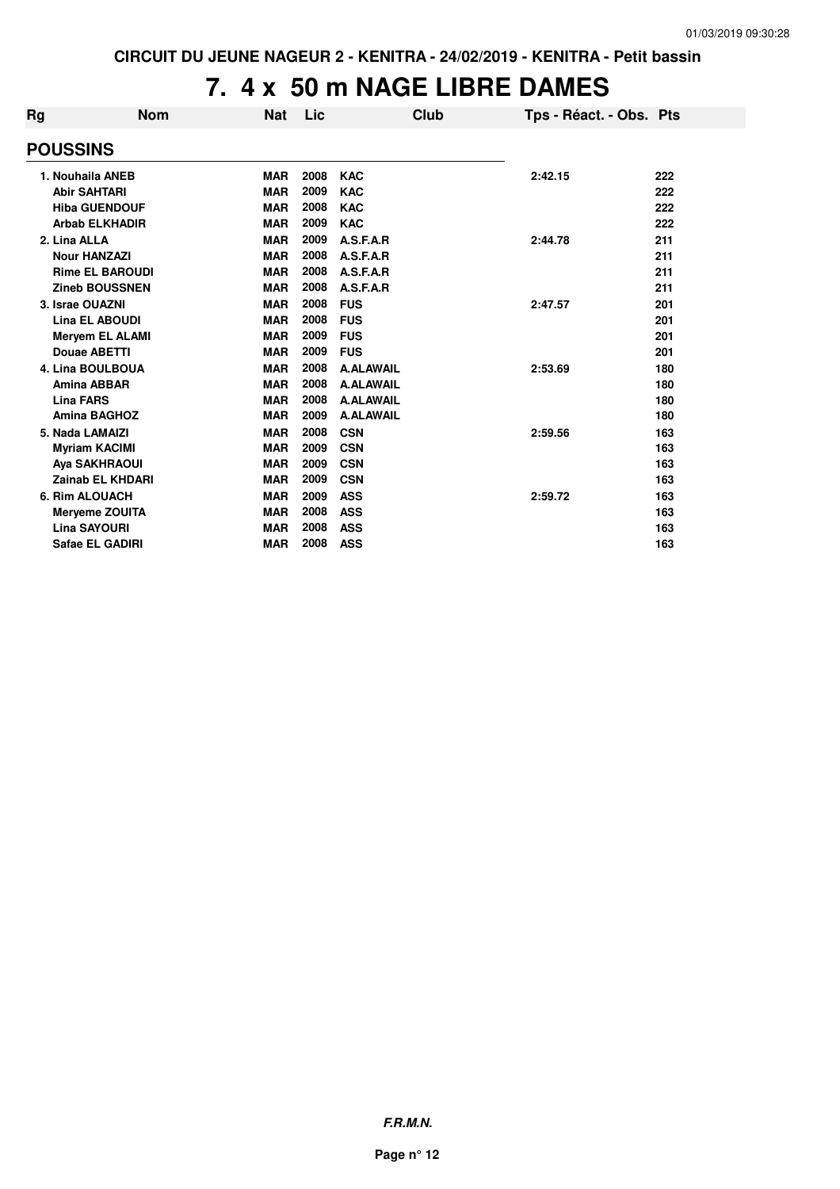# **7. 4 x 50 m NAGE LIBRE DAMES**

| Rg                      | <b>Nom</b> | <b>Nat</b> | Lic  | Club             | Tps - Réact. - Obs. Pts |     |
|-------------------------|------------|------------|------|------------------|-------------------------|-----|
| <b>POUSSINS</b>         |            |            |      |                  |                         |     |
| 1. Nouhaila ANEB        |            | <b>MAR</b> | 2008 | <b>KAC</b>       | 2:42.15                 | 222 |
| <b>Abir SAHTARI</b>     |            | <b>MAR</b> | 2009 | <b>KAC</b>       |                         | 222 |
| <b>Hiba GUENDOUF</b>    |            | <b>MAR</b> | 2008 | <b>KAC</b>       |                         | 222 |
| <b>Arbab ELKHADIR</b>   |            | <b>MAR</b> | 2009 | <b>KAC</b>       |                         | 222 |
| 2. Lina ALLA            |            | <b>MAR</b> | 2009 | A.S.F.A.R        | 2:44.78                 | 211 |
| <b>Nour HANZAZI</b>     |            | <b>MAR</b> | 2008 | A.S.F.A.R        |                         | 211 |
| <b>Rime EL BAROUDI</b>  |            | <b>MAR</b> | 2008 | A.S.F.A.R        |                         | 211 |
| <b>Zineb BOUSSNEN</b>   |            | <b>MAR</b> | 2008 | A.S.F.A.R        |                         | 211 |
| 3. Israe OUAZNI         |            | <b>MAR</b> | 2008 | <b>FUS</b>       | 2:47.57                 | 201 |
| <b>Lina EL ABOUDI</b>   |            | <b>MAR</b> | 2008 | <b>FUS</b>       |                         | 201 |
| <b>Mervem EL ALAMI</b>  |            | <b>MAR</b> | 2009 | <b>FUS</b>       |                         | 201 |
| Douae ABETTI            |            | <b>MAR</b> | 2009 | <b>FUS</b>       |                         | 201 |
| 4. Lina BOULBOUA        |            | <b>MAR</b> | 2008 | <b>A.ALAWAIL</b> | 2:53.69                 | 180 |
| <b>Amina ABBAR</b>      |            | <b>MAR</b> | 2008 | <b>A.ALAWAIL</b> |                         | 180 |
| <b>Lina FARS</b>        |            | <b>MAR</b> | 2008 | <b>A.ALAWAIL</b> |                         | 180 |
| <b>Amina BAGHOZ</b>     |            | <b>MAR</b> | 2009 | <b>A.ALAWAIL</b> |                         | 180 |
| 5. Nada LAMAIZI         |            | <b>MAR</b> | 2008 | <b>CSN</b>       | 2:59.56                 | 163 |
| <b>Myriam KACIMI</b>    |            | <b>MAR</b> | 2009 | <b>CSN</b>       |                         | 163 |
| <b>Aya SAKHRAOUI</b>    |            | <b>MAR</b> | 2009 | <b>CSN</b>       |                         | 163 |
| <b>Zainab EL KHDARI</b> |            | <b>MAR</b> | 2009 | <b>CSN</b>       |                         | 163 |
| 6. Rim ALOUACH          |            | <b>MAR</b> | 2009 | <b>ASS</b>       | 2:59.72                 | 163 |
| <b>Meryeme ZOUITA</b>   |            | <b>MAR</b> | 2008 | <b>ASS</b>       |                         | 163 |
| <b>Lina SAYOURI</b>     |            | <b>MAR</b> | 2008 | <b>ASS</b>       |                         | 163 |
| Safae EL GADIRI         |            | <b>MAR</b> | 2008 | <b>ASS</b>       |                         | 163 |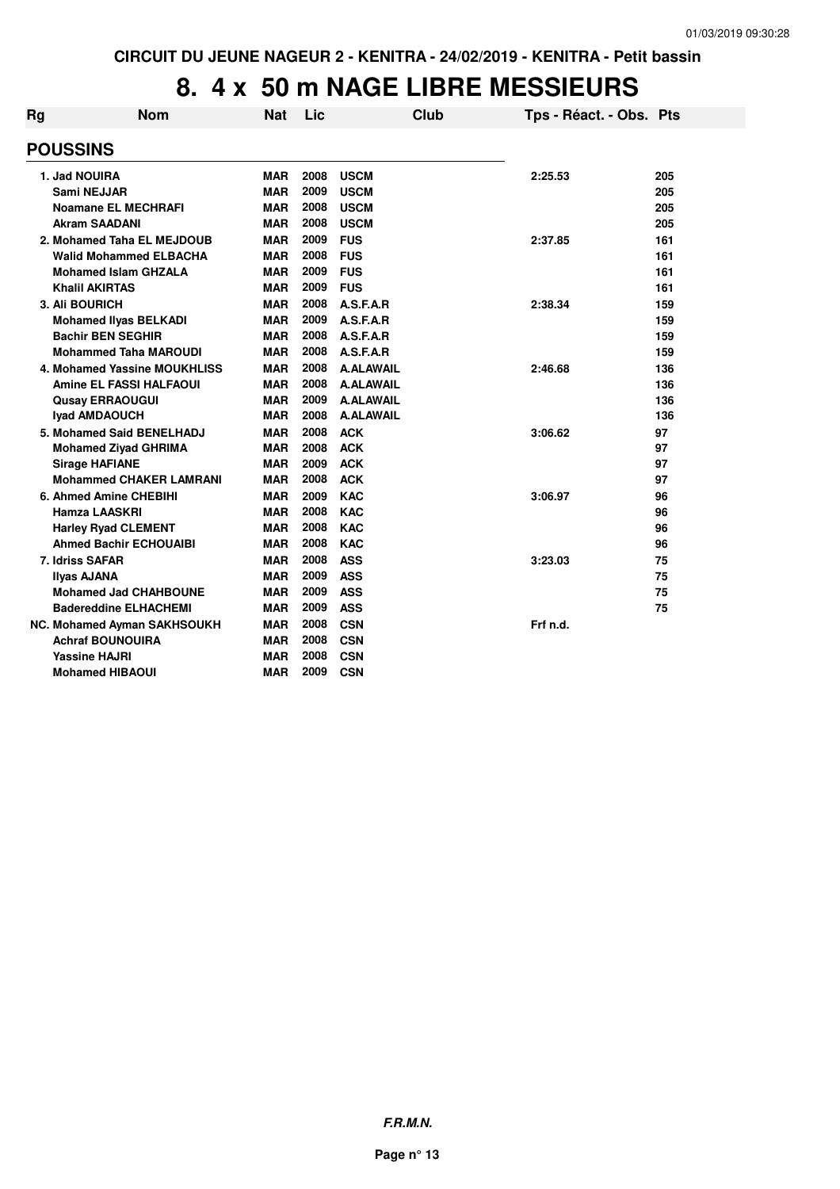#### **8. 4 x 50 m NAGE LIBRE MESSIEURS**

| Rg | <b>Nom</b>                     | <b>Nat</b> | Lic  |                  | Club | Tps - Réact. - Obs. Pts |     |
|----|--------------------------------|------------|------|------------------|------|-------------------------|-----|
|    | <b>POUSSINS</b>                |            |      |                  |      |                         |     |
|    | 1. Jad NOUIRA                  | <b>MAR</b> | 2008 | <b>USCM</b>      |      | 2:25.53                 | 205 |
|    | Sami NEJJAR                    | <b>MAR</b> | 2009 | <b>USCM</b>      |      |                         | 205 |
|    | Noamane EL MECHRAFI            | <b>MAR</b> | 2008 | <b>USCM</b>      |      |                         | 205 |
|    | <b>Akram SAADANI</b>           | <b>MAR</b> | 2008 | <b>USCM</b>      |      |                         | 205 |
|    | 2. Mohamed Taha EL MEJDOUB     | <b>MAR</b> | 2009 | <b>FUS</b>       |      | 2:37.85                 | 161 |
|    | <b>Walid Mohammed ELBACHA</b>  | <b>MAR</b> | 2008 | <b>FUS</b>       |      |                         | 161 |
|    | <b>Mohamed Islam GHZALA</b>    | <b>MAR</b> | 2009 | <b>FUS</b>       |      |                         | 161 |
|    | <b>Khalil AKIRTAS</b>          | MAR        | 2009 | <b>FUS</b>       |      |                         | 161 |
|    | 3. Ali BOURICH                 | MAR        | 2008 | A.S.F.A.R        |      | 2:38.34                 | 159 |
|    | <b>Mohamed Ilyas BELKADI</b>   | <b>MAR</b> | 2009 | A.S.F.A.R        |      |                         | 159 |
|    | <b>Bachir BEN SEGHIR</b>       | <b>MAR</b> | 2008 | A.S.F.A.R        |      |                         | 159 |
|    | <b>Mohammed Taha MAROUDI</b>   | <b>MAR</b> | 2008 | A.S.F.A.R        |      |                         | 159 |
|    | 4. Mohamed Yassine MOUKHLISS   | <b>MAR</b> | 2008 | <b>A.ALAWAIL</b> |      | 2:46.68                 | 136 |
|    | <b>Amine EL FASSI HALFAOUI</b> | <b>MAR</b> | 2008 | <b>A.ALAWAIL</b> |      |                         | 136 |
|    | <b>Qusay ERRAOUGUI</b>         | <b>MAR</b> | 2009 | <b>A.ALAWAIL</b> |      |                         | 136 |
|    | <b>Iyad AMDAOUCH</b>           | <b>MAR</b> | 2008 | <b>A.ALAWAIL</b> |      |                         | 136 |
|    | 5. Mohamed Said BENELHADJ      | <b>MAR</b> | 2008 | <b>ACK</b>       |      | 3:06.62                 | 97  |
|    | <b>Mohamed Ziyad GHRIMA</b>    | <b>MAR</b> | 2008 | <b>ACK</b>       |      |                         | 97  |
|    | <b>Sirage HAFIANE</b>          | MAR        | 2009 | <b>ACK</b>       |      |                         | 97  |
|    | <b>Mohammed CHAKER LAMRANI</b> | MAR        | 2008 | <b>ACK</b>       |      |                         | 97  |
|    | 6. Ahmed Amine CHEBIHI         | MAR        | 2009 | <b>KAC</b>       |      | 3:06.97                 | 96  |
|    | <b>Hamza LAASKRI</b>           | <b>MAR</b> | 2008 | <b>KAC</b>       |      |                         | 96  |
|    | <b>Harley Ryad CLEMENT</b>     | <b>MAR</b> | 2008 | <b>KAC</b>       |      |                         | 96  |
|    | <b>Ahmed Bachir ECHOUAIBI</b>  | <b>MAR</b> | 2008 | <b>KAC</b>       |      |                         | 96  |
|    | 7. Idriss SAFAR                | <b>MAR</b> | 2008 | <b>ASS</b>       |      | 3:23.03                 | 75  |
|    | Ilyas AJANA                    | <b>MAR</b> | 2009 | <b>ASS</b>       |      |                         | 75  |
|    | <b>Mohamed Jad CHAHBOUNE</b>   | <b>MAR</b> | 2009 | <b>ASS</b>       |      |                         | 75  |
|    | <b>Badereddine ELHACHEMI</b>   | <b>MAR</b> | 2009 | <b>ASS</b>       |      |                         | 75  |
|    | NC. Mohamed Ayman SAKHSOUKH    | <b>MAR</b> | 2008 | <b>CSN</b>       |      | Frf n.d.                |     |
|    | <b>Achraf BOUNOUIRA</b>        | <b>MAR</b> | 2008 | <b>CSN</b>       |      |                         |     |
|    | <b>Yassine HAJRI</b>           | MAR        | 2008 | <b>CSN</b>       |      |                         |     |
|    | <b>Mohamed HIBAOUI</b>         | <b>MAR</b> | 2009 | <b>CSN</b>       |      |                         |     |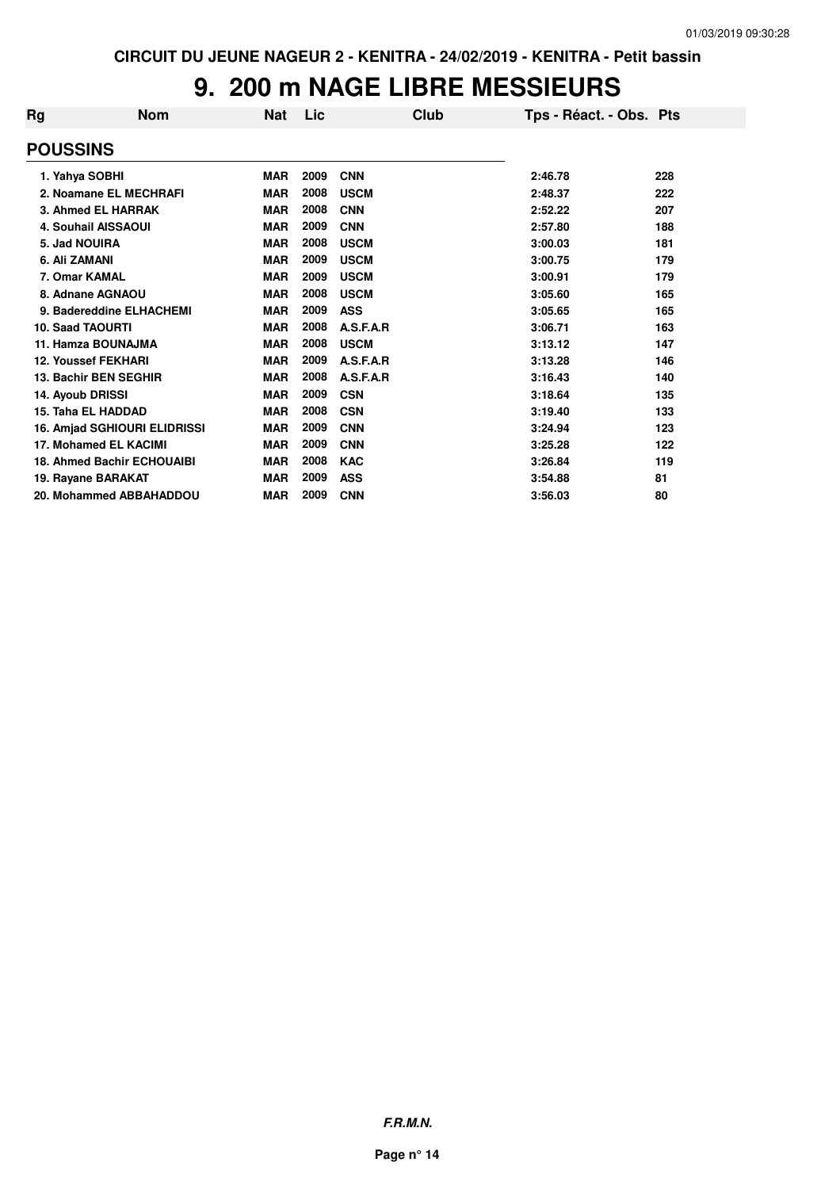## **9. 200 m NAGE LIBRE MESSIEURS**

| Rg<br>Nom                         | <b>Nat</b> | Lic  | Club        | Tps - Réact. - Obs. Pts |     |
|-----------------------------------|------------|------|-------------|-------------------------|-----|
| <b>POUSSINS</b>                   |            |      |             |                         |     |
| 1. Yahya SOBHI                    | <b>MAR</b> | 2009 | <b>CNN</b>  | 2:46.78                 | 228 |
| 2. Noamane EL MECHRAFI            | <b>MAR</b> | 2008 | <b>USCM</b> | 2:48.37                 | 222 |
| 3. Ahmed EL HARRAK                | <b>MAR</b> | 2008 | <b>CNN</b>  | 2:52.22                 | 207 |
| <b>4. Souhail AISSAOUI</b>        | <b>MAR</b> | 2009 | <b>CNN</b>  | 2:57.80                 | 188 |
| 5. Jad NOUIRA                     | <b>MAR</b> | 2008 | <b>USCM</b> | 3:00.03                 | 181 |
| 6. Ali ZAMANI                     | <b>MAR</b> | 2009 | <b>USCM</b> | 3:00.75                 | 179 |
| 7. Omar KAMAL                     | <b>MAR</b> | 2009 | <b>USCM</b> | 3:00.91                 | 179 |
| 8. Adnane AGNAOU                  | <b>MAR</b> | 2008 | <b>USCM</b> | 3:05.60                 | 165 |
| 9. Badereddine ELHACHEMI          | <b>MAR</b> | 2009 | <b>ASS</b>  | 3:05.65                 | 165 |
| 10. Saad TAOURTI                  | <b>MAR</b> | 2008 | A.S.F.A.R   | 3:06.71                 | 163 |
| 11. Hamza BOUNAJMA                | <b>MAR</b> | 2008 | <b>USCM</b> | 3:13.12                 | 147 |
| <b>12. Youssef FEKHARI</b>        | <b>MAR</b> | 2009 | A.S.F.A.R   | 3:13.28                 | 146 |
| 13. Bachir BEN SEGHIR             | <b>MAR</b> | 2008 | A.S.F.A.R   | 3:16.43                 | 140 |
| 14. Ayoub DRISSI                  | <b>MAR</b> | 2009 | <b>CSN</b>  | 3:18.64                 | 135 |
| 15. Taha EL HADDAD                | <b>MAR</b> | 2008 | <b>CSN</b>  | 3:19.40                 | 133 |
| 16. Amjad SGHIOURI ELIDRISSI      | <b>MAR</b> | 2009 | <b>CNN</b>  | 3:24.94                 | 123 |
| 17. Mohamed EL KACIMI             | <b>MAR</b> | 2009 | <b>CNN</b>  | 3:25.28                 | 122 |
| <b>18. Ahmed Bachir ECHOUAIBI</b> | <b>MAR</b> | 2008 | <b>KAC</b>  | 3:26.84                 | 119 |
| 19. Rayane BARAKAT                | <b>MAR</b> | 2009 | <b>ASS</b>  | 3:54.88                 | 81  |
| 20. Mohammed ABBAHADDOU           | <b>MAR</b> | 2009 | <b>CNN</b>  | 3:56.03                 | 80  |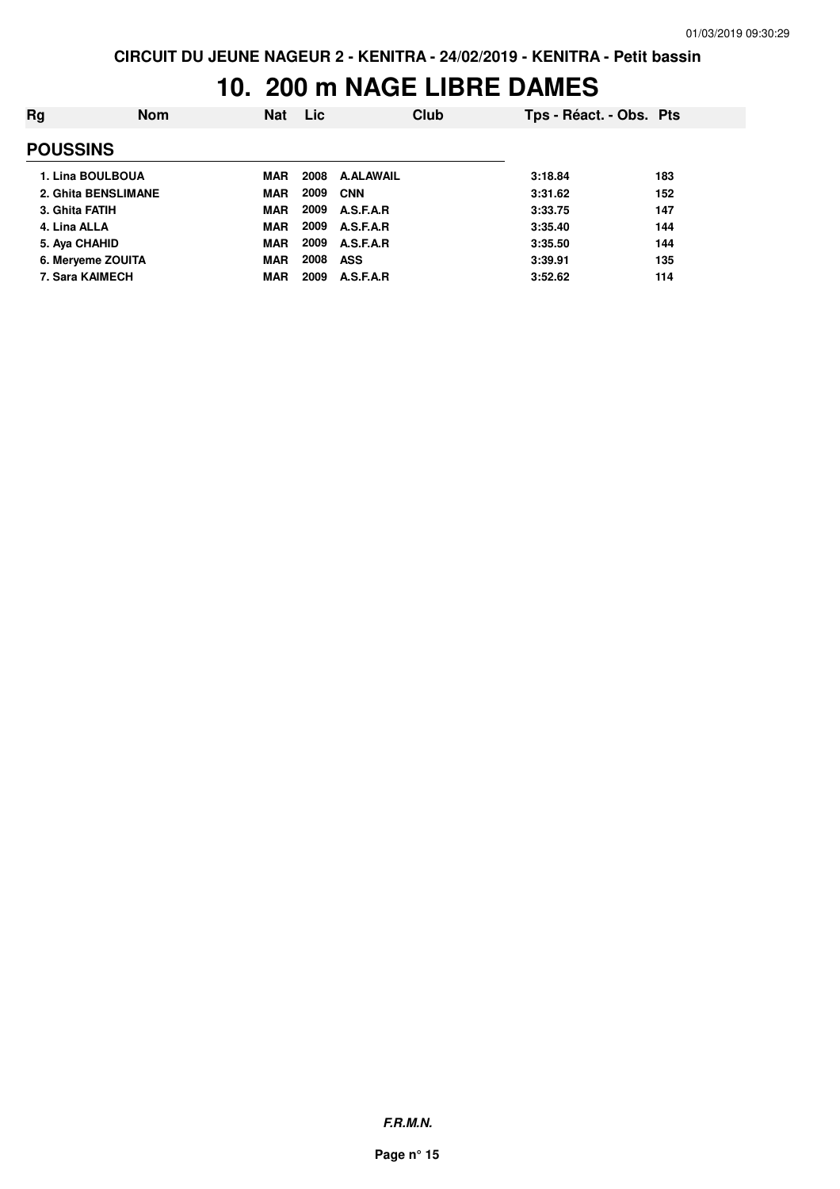## **10. 200 m NAGE LIBRE DAMES**

| Rg              | <b>Nom</b>          | <b>Nat</b> | <b>Lic</b> | Club             | Tps - Réact. - Obs. Pts |     |
|-----------------|---------------------|------------|------------|------------------|-------------------------|-----|
| <b>POUSSINS</b> |                     |            |            |                  |                         |     |
|                 | 1. Lina BOULBOUA    | MAR        | 2008       | <b>A.ALAWAIL</b> | 3:18.84                 | 183 |
|                 | 2. Ghita BENSLIMANE | <b>MAR</b> | 2009       | <b>CNN</b>       | 3:31.62                 | 152 |
| 3. Ghita FATIH  |                     | <b>MAR</b> | 2009       | A.S.F.A.R        | 3:33.75                 | 147 |
| 4. Lina ALLA    |                     | <b>MAR</b> | 2009       | A.S.F.A.R        | 3:35.40                 | 144 |
| 5. Aya CHAHID   |                     | <b>MAR</b> | 2009       | A.S.F.A.R        | 3:35.50                 | 144 |
|                 | 6. Merveme ZOUITA   | <b>MAR</b> | 2008       | <b>ASS</b>       | 3:39.91                 | 135 |
|                 | 7. Sara KAIMECH     | <b>MAR</b> | 2009       | A.S.F.A.R        | 3:52.62                 | 114 |
|                 |                     |            |            |                  |                         |     |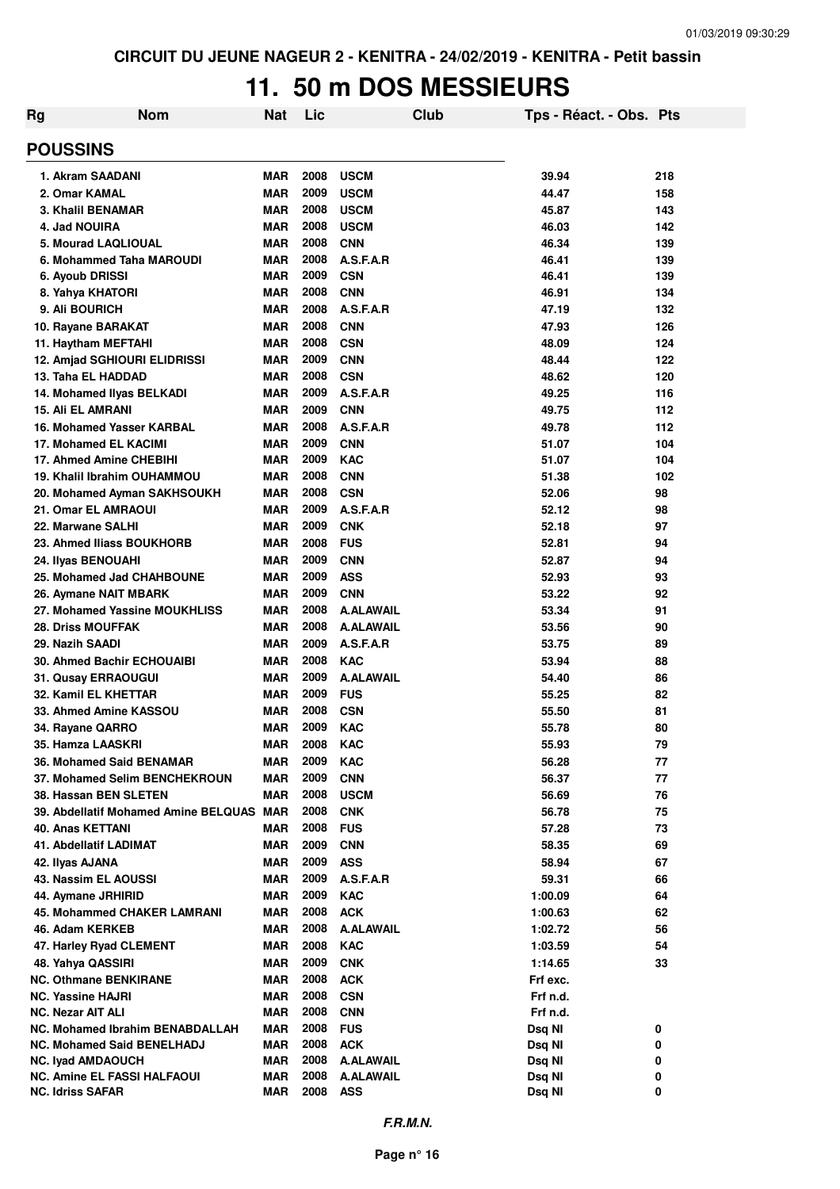## **11. 50 m DOS MESSIEURS**

| <b>Rg</b> | <b>Nom</b>                                                     | Nat               | Lic          |                                | Club | Tps - Réact. - Obs. Pts |            |
|-----------|----------------------------------------------------------------|-------------------|--------------|--------------------------------|------|-------------------------|------------|
|           | <b>POUSSINS</b>                                                |                   |              |                                |      |                         |            |
|           | 1. Akram SAADANI                                               | MAR               | 2008         | <b>USCM</b>                    |      | 39.94                   | 218        |
|           | 2. Omar KAMAL                                                  | <b>MAR</b>        | 2009         | <b>USCM</b>                    |      | 44.47                   | 158        |
|           | 3. Khalil BENAMAR                                              | <b>MAR</b>        | 2008         | <b>USCM</b>                    |      | 45.87                   | 143        |
|           | 4. Jad NOUIRA                                                  | <b>MAR</b>        | 2008         | <b>USCM</b>                    |      | 46.03                   | 142        |
|           | 5. Mourad LAQLIOUAL                                            | <b>MAR</b>        | 2008         | <b>CNN</b>                     |      | 46.34                   | 139        |
|           | 6. Mohammed Taha MAROUDI                                       | <b>MAR</b>        | 2008         | A.S.F.A.R                      |      | 46.41                   | 139        |
|           | 6. Ayoub DRISSI                                                | <b>MAR</b>        | 2009         | <b>CSN</b>                     |      | 46.41                   | 139        |
|           | 8. Yahya KHATORI                                               | <b>MAR</b>        | 2008         | <b>CNN</b>                     |      | 46.91                   | 134        |
|           | 9. Ali BOURICH                                                 | <b>MAR</b>        | 2008         | A.S.F.A.R                      |      | 47.19                   | 132        |
|           | 10. Rayane BARAKAT                                             | <b>MAR</b>        | 2008         | <b>CNN</b>                     |      | 47.93                   | 126        |
|           | 11. Haytham MEFTAHI                                            | MAR               | 2008         | <b>CSN</b>                     |      | 48.09                   | 124        |
|           | 12. Amjad SGHIOURI ELIDRISSI                                   | <b>MAR</b>        | 2009<br>2008 | <b>CNN</b>                     |      | 48.44                   | 122        |
|           | 13. Taha EL HADDAD<br>14. Mohamed Ilyas BELKADI                | <b>MAR</b><br>MAR | 2009         | <b>CSN</b><br>A.S.F.A.R        |      | 48.62<br>49.25          | 120<br>116 |
|           | <b>15. Ali EL AMRANI</b>                                       | <b>MAR</b>        | 2009         | <b>CNN</b>                     |      | 49.75                   | 112        |
|           | <b>16. Mohamed Yasser KARBAL</b>                               | <b>MAR</b>        | 2008         | A.S.F.A.R                      |      | 49.78                   | 112        |
|           | 17. Mohamed EL KACIMI                                          | <b>MAR</b>        | 2009         | <b>CNN</b>                     |      | 51.07                   | 104        |
|           | 17. Ahmed Amine CHEBIHI                                        | <b>MAR</b>        | 2009         | <b>KAC</b>                     |      | 51.07                   | 104        |
|           | 19. Khalil Ibrahim OUHAMMOU                                    | <b>MAR</b>        | 2008         | <b>CNN</b>                     |      | 51.38                   | 102        |
|           | 20. Mohamed Ayman SAKHSOUKH                                    | MAR               | 2008         | <b>CSN</b>                     |      | 52.06                   | 98         |
|           | 21. Omar EL AMRAOUI                                            | <b>MAR</b>        | 2009         | A.S.F.A.R                      |      | 52.12                   | 98         |
|           | 22. Marwane SALHI                                              | <b>MAR</b>        | 2009         | <b>CNK</b>                     |      | 52.18                   | 97         |
|           | 23. Ahmed Iliass BOUKHORB                                      | <b>MAR</b>        | 2008         | <b>FUS</b>                     |      | 52.81                   | 94         |
|           | 24. Ilyas BENOUAHI                                             | MAR               | 2009         | <b>CNN</b>                     |      | 52.87                   | 94         |
|           | 25. Mohamed Jad CHAHBOUNE                                      | MAR               | 2009         | <b>ASS</b>                     |      | 52.93                   | 93         |
|           | 26. Aymane NAIT MBARK                                          | MAR               | 2009         | <b>CNN</b>                     |      | 53.22                   | 92         |
|           | 27. Mohamed Yassine MOUKHLISS                                  | MAR               | 2008         | <b>A.ALAWAIL</b>               |      | 53.34                   | 91         |
|           | <b>28. Driss MOUFFAK</b>                                       | MAR               | 2008         | <b>A.ALAWAIL</b>               |      | 53.56                   | 90         |
|           | 29. Nazih SAADI                                                | MAR               | 2009         | A.S.F.A.R                      |      | 53.75                   | 89         |
|           | <b>30. Ahmed Bachir ECHOUAIBI</b>                              | MAR               | 2008         | <b>KAC</b>                     |      | 53.94                   | 88         |
|           | 31. Qusay ERRAOUGUI                                            | MAR               | 2009         | <b>A.ALAWAIL</b>               |      | 54.40                   | 86         |
|           | 32. Kamil EL KHETTAR                                           | <b>MAR</b>        | 2009         | <b>FUS</b>                     |      | 55.25                   | 82         |
|           | 33. Ahmed Amine KASSOU                                         | <b>MAR</b>        | 2008<br>2009 | <b>CSN</b>                     |      | 55.50                   | 81         |
|           | 34. Rayane QARRO<br>35. Hamza LAASKRI                          | MAR               | 2008         | <b>KAC</b><br><b>KAC</b>       |      | 55.78<br>55.93          | 80<br>79   |
|           | 36. Mohamed Said BENAMAR                                       | MAR<br>MAR        | 2009         | <b>KAC</b>                     |      | 56.28                   | 77         |
|           | 37. Mohamed Selim BENCHEKROUN                                  | MAR               | 2009         | <b>CNN</b>                     |      | 56.37                   | 77         |
|           | 38. Hassan BEN SLETEN                                          | <b>MAR</b>        | 2008         | <b>USCM</b>                    |      | 56.69                   | 76         |
|           | 39. Abdellatif Mohamed Amine BELQUAS MAR                       |                   | 2008         | <b>CNK</b>                     |      | 56.78                   | 75         |
|           | 40. Anas KETTANI                                               | <b>MAR</b>        | 2008         | <b>FUS</b>                     |      | 57.28                   | 73         |
|           | 41. Abdellatif LADIMAT                                         | <b>MAR</b>        | 2009         | <b>CNN</b>                     |      | 58.35                   | 69         |
|           | 42. Ilyas AJANA                                                | <b>MAR</b>        | 2009         | <b>ASS</b>                     |      | 58.94                   | 67         |
|           | 43. Nassim EL AOUSSI                                           | <b>MAR</b>        | 2009         | A.S.F.A.R                      |      | 59.31                   | 66         |
|           | 44. Aymane JRHIRID                                             | <b>MAR</b>        | 2009         | <b>KAC</b>                     |      | 1:00.09                 | 64         |
|           | 45. Mohammed CHAKER LAMRANI                                    | <b>MAR</b>        | 2008         | <b>ACK</b>                     |      | 1:00.63                 | 62         |
|           | 46. Adam KERKEB                                                | MAR               | 2008         | <b>A.ALAWAIL</b>               |      | 1:02.72                 | 56         |
|           | 47. Harley Ryad CLEMENT                                        | MAR               | 2008         | <b>KAC</b>                     |      | 1:03.59                 | 54         |
|           | 48. Yahya QASSIRI                                              | MAR               | 2009         | <b>CNK</b>                     |      | 1:14.65                 | 33         |
|           | NC. Othmane BENKIRANE                                          | MAR               | 2008         | <b>ACK</b>                     |      | Frf exc.                |            |
|           | NC. Yassine HAJRI                                              | MAR               | 2008         | <b>CSN</b>                     |      | Frf n.d.                |            |
|           | NC. Nezar AIT ALI                                              | MAR               | 2008         | <b>CNN</b>                     |      | Frf n.d.                |            |
|           | NC. Mohamed Ibrahim BENABDALLAH                                | <b>MAR</b>        | 2008         | <b>FUS</b>                     |      | Dsq NI                  | 0          |
|           | <b>NC. Mohamed Said BENELHADJ</b>                              | <b>MAR</b><br>MAR | 2008<br>2008 | <b>ACK</b><br><b>A.ALAWAIL</b> |      | Dsq NI                  | 0<br>0     |
|           | <b>NC. Iyad AMDAOUCH</b><br><b>NC. Amine EL FASSI HALFAOUI</b> | MAR               | 2008         | <b>A.ALAWAIL</b>               |      | Dsq NI<br>Dsq NI        | 0          |
|           | <b>NC. Idriss SAFAR</b>                                        | <b>MAR</b>        | 2008 ASS     |                                |      | Dsq NI                  | 0          |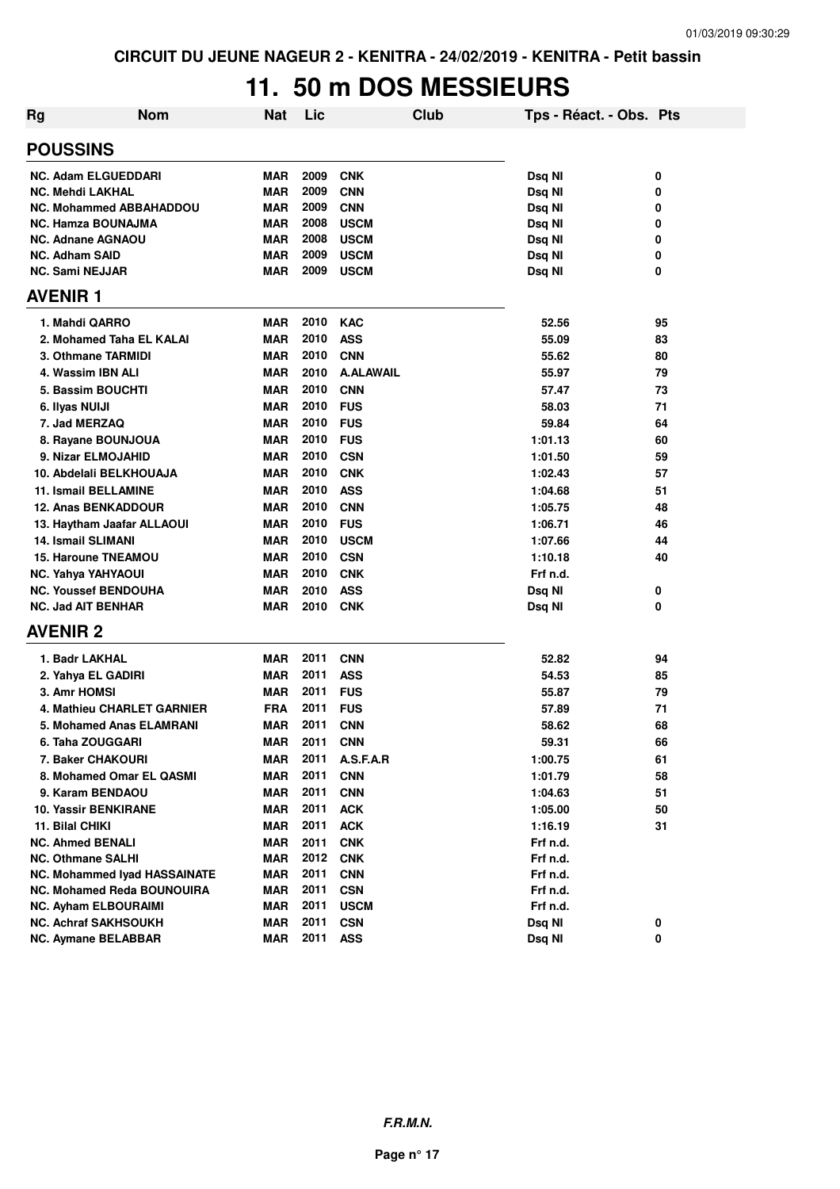#### **11. 50 m DOS MESSIEURS**

| Rg                             | <b>Nom</b>                          | <b>Nat</b> | Lic  |                  | Club | Tps - Réact. - Obs. Pts |    |
|--------------------------------|-------------------------------------|------------|------|------------------|------|-------------------------|----|
| <b>POUSSINS</b>                |                                     |            |      |                  |      |                         |    |
| <b>NC. Adam ELGUEDDARI</b>     |                                     | <b>MAR</b> | 2009 | <b>CNK</b>       |      | Dsq NI                  | 0  |
| <b>NC. Mehdi LAKHAL</b>        |                                     | <b>MAR</b> | 2009 | <b>CNN</b>       |      | Dsq NI                  | 0  |
| <b>NC. Mohammed ABBAHADDOU</b> |                                     | <b>MAR</b> | 2009 | <b>CNN</b>       |      | Dsq NI                  | 0  |
| <b>NC. Hamza BOUNAJMA</b>      |                                     | <b>MAR</b> | 2008 | <b>USCM</b>      |      | Dsq NI                  | 0  |
| <b>NC. Adnane AGNAOU</b>       |                                     | <b>MAR</b> | 2008 | <b>USCM</b>      |      | Dsq NI                  | 0  |
| <b>NC. Adham SAID</b>          |                                     | <b>MAR</b> | 2009 | <b>USCM</b>      |      | Dsq NI                  | 0  |
| <b>NC. Sami NEJJAR</b>         |                                     | <b>MAR</b> | 2009 | <b>USCM</b>      |      | Dsq NI                  | 0  |
| <b>AVENIR 1</b>                |                                     |            |      |                  |      |                         |    |
| 1. Mahdi QARRO                 |                                     | <b>MAR</b> | 2010 | <b>KAC</b>       |      | 52.56                   | 95 |
| 2. Mohamed Taha EL KALAI       |                                     | <b>MAR</b> | 2010 | <b>ASS</b>       |      | 55.09                   | 83 |
| 3. Othmane TARMIDI             |                                     | <b>MAR</b> | 2010 | <b>CNN</b>       |      | 55.62                   | 80 |
| 4. Wassim IBN ALI              |                                     | <b>MAR</b> | 2010 | <b>A.ALAWAIL</b> |      | 55.97                   | 79 |
| 5. Bassim BOUCHTI              |                                     | <b>MAR</b> | 2010 | <b>CNN</b>       |      | 57.47                   | 73 |
| 6. Ilyas NUIJI                 |                                     | <b>MAR</b> | 2010 | <b>FUS</b>       |      | 58.03                   | 71 |
| 7. Jad MERZAQ                  |                                     | <b>MAR</b> | 2010 | <b>FUS</b>       |      | 59.84                   | 64 |
| 8. Rayane BOUNJOUA             |                                     | <b>MAR</b> | 2010 | <b>FUS</b>       |      | 1:01.13                 | 60 |
| 9. Nizar ELMOJAHID             |                                     | <b>MAR</b> | 2010 | <b>CSN</b>       |      | 1:01.50                 | 59 |
| 10. Abdelali BELKHOUAJA        |                                     | <b>MAR</b> | 2010 | <b>CNK</b>       |      | 1:02.43                 | 57 |
| <b>11. Ismail BELLAMINE</b>    |                                     | <b>MAR</b> | 2010 | <b>ASS</b>       |      | 1:04.68                 | 51 |
| <b>12. Anas BENKADDOUR</b>     |                                     | <b>MAR</b> | 2010 | <b>CNN</b>       |      | 1:05.75                 | 48 |
| 13. Haytham Jaafar ALLAOUI     |                                     | <b>MAR</b> | 2010 | <b>FUS</b>       |      | 1:06.71                 | 46 |
| <b>14. Ismail SLIMANI</b>      |                                     | <b>MAR</b> | 2010 | <b>USCM</b>      |      | 1:07.66                 | 44 |
| <b>15. Haroune TNEAMOU</b>     |                                     | <b>MAR</b> | 2010 | <b>CSN</b>       |      | 1:10.18                 | 40 |
| NC. Yahya YAHYAOUI             |                                     | <b>MAR</b> | 2010 | <b>CNK</b>       |      | Frf n.d.                |    |
| <b>NC. Youssef BENDOUHA</b>    |                                     | <b>MAR</b> | 2010 | <b>ASS</b>       |      | Dsq NI                  | 0  |
| <b>NC. Jad AIT BENHAR</b>      |                                     | <b>MAR</b> | 2010 | <b>CNK</b>       |      | Dsq NI                  | 0  |
| <b>AVENIR 2</b>                |                                     |            |      |                  |      |                         |    |
| 1. Badr LAKHAL                 |                                     | <b>MAR</b> | 2011 | <b>CNN</b>       |      | 52.82                   | 94 |
| 2. Yahya EL GADIRI             |                                     | <b>MAR</b> | 2011 | <b>ASS</b>       |      | 54.53                   | 85 |
| 3. Amr HOMSI                   |                                     | <b>MAR</b> | 2011 | <b>FUS</b>       |      | 55.87                   | 79 |
|                                | 4. Mathieu CHARLET GARNIER          | <b>FRA</b> | 2011 | <b>FUS</b>       |      | 57.89                   | 71 |
|                                | 5. Mohamed Anas ELAMRANI            | <b>MAR</b> | 2011 | <b>CNN</b>       |      | 58.62                   | 68 |
| 6. Taha ZOUGGARI               |                                     | <b>MAR</b> | 2011 | <b>CNN</b>       |      | 59.31                   | 66 |
| 7. Baker CHAKOURI              |                                     | <b>MAR</b> | 2011 | A.S.F.A.R        |      | 1:00.75                 | 61 |
|                                | 8. Mohamed Omar EL QASMI            | <b>MAR</b> | 2011 | <b>CNN</b>       |      | 1:01.79                 | 58 |
| 9. Karam BENDAOU               |                                     | <b>MAR</b> | 2011 | <b>CNN</b>       |      | 1:04.63                 | 51 |
| <b>10. Yassir BENKIRANE</b>    |                                     | <b>MAR</b> | 2011 | <b>ACK</b>       |      | 1:05.00                 | 50 |
| 11. Bilal CHIKI                |                                     | <b>MAR</b> | 2011 | <b>ACK</b>       |      | 1:16.19                 | 31 |
| NC. Ahmed BENALI               |                                     | <b>MAR</b> | 2011 | <b>CNK</b>       |      | Frf n.d.                |    |
| <b>NC. Othmane SALHI</b>       |                                     | <b>MAR</b> | 2012 | <b>CNK</b>       |      | Frf n.d.                |    |
|                                | <b>NC. Mohammed Iyad HASSAINATE</b> | MAR        | 2011 | <b>CNN</b>       |      | Frf n.d.                |    |
|                                | <b>NC. Mohamed Reda BOUNOUIRA</b>   | <b>MAR</b> | 2011 | <b>CSN</b>       |      | Frf n.d.                |    |
| <b>NC. Ayham ELBOURAIMI</b>    |                                     | <b>MAR</b> | 2011 | <b>USCM</b>      |      | Frf n.d.                |    |
| NC. Achraf SAKHSOUKH           |                                     | <b>MAR</b> | 2011 | <b>CSN</b>       |      | Dsq NI                  | 0  |
| <b>NC. Aymane BELABBAR</b>     |                                     | <b>MAR</b> | 2011 | <b>ASS</b>       |      | Dsq NI                  | 0  |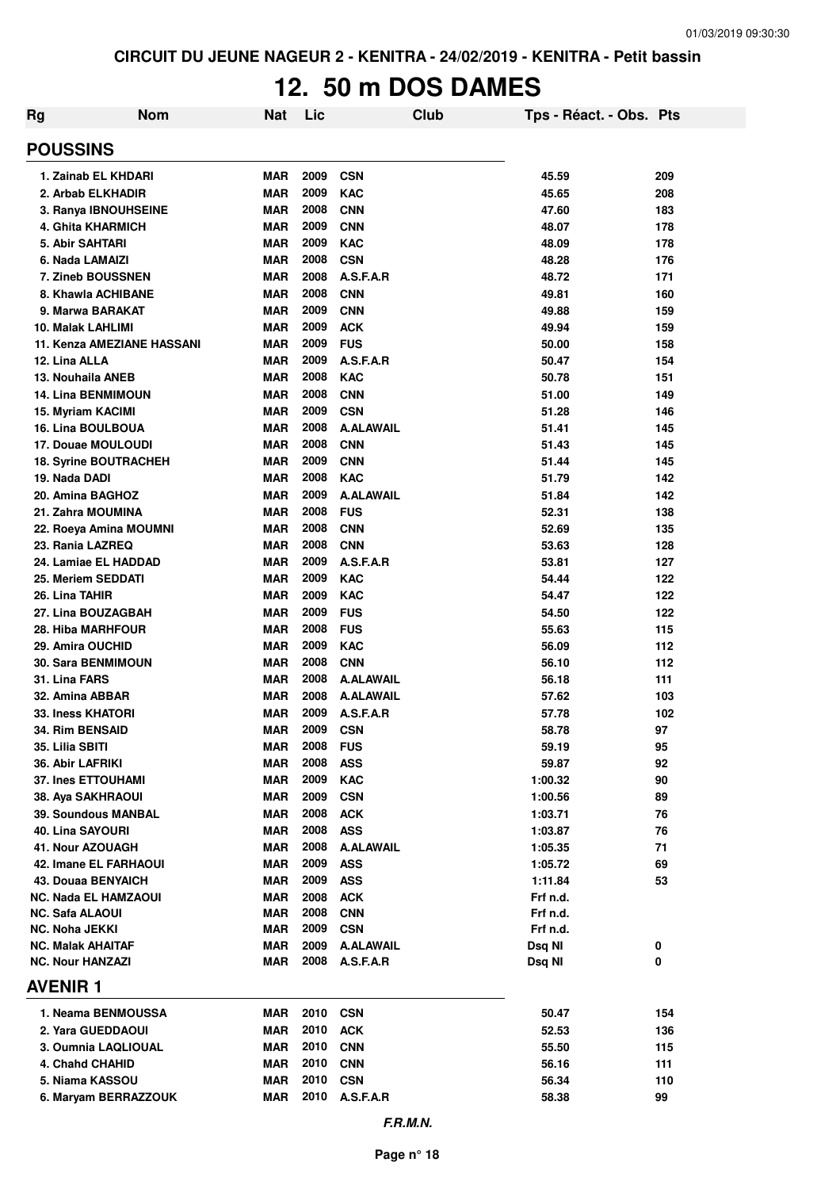# **12. 50 m DOS DAMES**

| <b>Nom</b><br><b>Rg</b>                       | <b>Nat</b>               | Lic          | <b>Club</b>              | Tps - Réact. - Obs. Pts |            |
|-----------------------------------------------|--------------------------|--------------|--------------------------|-------------------------|------------|
| <b>POUSSINS</b>                               |                          |              |                          |                         |            |
| 1. Zainab EL KHDARI                           | <b>MAR</b>               | 2009         | <b>CSN</b>               | 45.59                   | 209        |
| 2. Arbab ELKHADIR                             | <b>MAR</b>               | 2009         | <b>KAC</b>               | 45.65                   | 208        |
| 3. Ranya IBNOUHSEINE                          | <b>MAR</b>               | 2008         | <b>CNN</b>               | 47.60                   | 183        |
| 4. Ghita KHARMICH                             | <b>MAR</b>               | 2009         | <b>CNN</b>               | 48.07                   | 178        |
| 5. Abir SAHTARI                               | <b>MAR</b>               | 2009         | <b>KAC</b>               | 48.09                   | 178        |
| 6. Nada LAMAIZI                               | <b>MAR</b>               | 2008         | <b>CSN</b>               | 48.28                   | 176        |
| 7. Zineb BOUSSNEN                             | <b>MAR</b>               | 2008         | A.S.F.A.R                | 48.72                   | 171        |
| 8. Khawla ACHIBANE                            | <b>MAR</b>               | 2008         | <b>CNN</b>               | 49.81                   | 160        |
| 9. Marwa BARAKAT                              | <b>MAR</b>               | 2009         | <b>CNN</b>               | 49.88                   | 159        |
| 10. Malak LAHLIMI                             | <b>MAR</b>               | 2009         | <b>ACK</b>               | 49.94                   | 159        |
| 11. Kenza AMEZIANE HASSANI                    | <b>MAR</b>               | 2009         | <b>FUS</b>               | 50.00                   | 158        |
| 12. Lina ALLA                                 | <b>MAR</b>               | 2009         | A.S.F.A.R                | 50.47                   | 154        |
| 13. Nouhaila ANEB                             | <b>MAR</b>               | 2008         | <b>KAC</b>               | 50.78                   | 151        |
| <b>14. Lina BENMIMOUN</b>                     | <b>MAR</b>               | 2008         | <b>CNN</b>               | 51.00                   | 149        |
| 15. Myriam KACIMI                             | <b>MAR</b>               | 2009         | <b>CSN</b>               | 51.28                   | 146        |
| 16. Lina BOULBOUA                             | <b>MAR</b>               | 2008<br>2008 | A.ALAWAIL                | 51.41                   | 145        |
| 17. Douae MOULOUDI                            | <b>MAR</b><br><b>MAR</b> | 2009         | <b>CNN</b><br><b>CNN</b> | 51.43<br>51.44          | 145<br>145 |
| <b>18. Syrine BOUTRACHEH</b><br>19. Nada DADI | <b>MAR</b>               | 2008         | <b>KAC</b>               | 51.79                   | 142        |
| 20. Amina BAGHOZ                              | <b>MAR</b>               | 2009         | <b>A.ALAWAIL</b>         | 51.84                   | 142        |
| 21. Zahra MOUMINA                             | <b>MAR</b>               | 2008         | <b>FUS</b>               | 52.31                   | 138        |
| 22. Roeya Amina MOUMNI                        | <b>MAR</b>               | 2008         | <b>CNN</b>               | 52.69                   | 135        |
| 23. Rania LAZREQ                              | <b>MAR</b>               | 2008         | <b>CNN</b>               | 53.63                   | 128        |
| 24. Lamiae EL HADDAD                          | <b>MAR</b>               | 2009         | A.S.F.A.R                | 53.81                   | 127        |
| 25. Meriem SEDDATI                            | <b>MAR</b>               | 2009         | <b>KAC</b>               | 54.44                   | 122        |
| 26. Lina TAHIR                                | <b>MAR</b>               | 2009         | <b>KAC</b>               | 54.47                   | 122        |
| 27. Lina BOUZAGBAH                            | <b>MAR</b>               | 2009         | <b>FUS</b>               | 54.50                   | 122        |
| 28. Hiba MARHFOUR                             | <b>MAR</b>               | 2008         | <b>FUS</b>               | 55.63                   | 115        |
| 29. Amira OUCHID                              | <b>MAR</b>               | 2009         | <b>KAC</b>               | 56.09                   | 112        |
| <b>30. Sara BENMIMOUN</b>                     | <b>MAR</b>               | 2008         | <b>CNN</b>               | 56.10                   | 112        |
| 31. Lina FARS                                 | <b>MAR</b>               | 2008         | <b>A.ALAWAIL</b>         | 56.18                   | 111        |
| 32. Amina ABBAR                               | <b>MAR</b>               | 2008         | <b>A.ALAWAIL</b>         | 57.62                   | 103        |
| <b>33. Iness KHATORI</b>                      | <b>MAR</b>               | 2009         | A.S.F.A.R                | 57.78                   | 102        |
| <b>34. Rim BENSAID</b>                        | <b>MAR</b>               | 2009         | <b>CSN</b>               | 58.78                   | 97         |
| 35. Lilia SBITI                               | MAR                      | 2008         | <b>FUS</b>               | 59.19                   | 95         |
| 36. Abir LAFRIKI                              | <b>MAR</b>               | 2008         | <b>ASS</b>               | 59.87                   | 92         |
| <b>37. Ines ETTOUHAMI</b>                     | <b>MAR</b>               | 2009         | <b>KAC</b>               | 1:00.32                 | 90         |
| 38. Aya SAKHRAOUI                             | <b>MAR</b>               | 2009         | <b>CSN</b>               | 1:00.56                 | 89         |
| <b>39. Soundous MANBAL</b>                    | <b>MAR</b>               | 2008         | <b>ACK</b>               | 1:03.71                 | 76         |
| <b>40. Lina SAYOURI</b>                       | <b>MAR</b>               | 2008         | <b>ASS</b>               | 1:03.87                 | 76         |
| 41. Nour AZOUAGH                              | <b>MAR</b>               | 2008         | <b>A.ALAWAIL</b>         | 1:05.35                 | 71         |
| 42. Imane EL FARHAOUI                         | <b>MAR</b>               | 2009         | <b>ASS</b>               | 1:05.72                 | 69         |
| <b>43. Douaa BENYAICH</b>                     | <b>MAR</b>               | 2009         | <b>ASS</b>               | 1:11.84                 | 53         |
| NC. Nada EL HAMZAOUI                          | <b>MAR</b>               | 2008         | <b>ACK</b>               | Frf n.d.                |            |
| NC. Safa ALAOUI<br><b>NC. Noha JEKKI</b>      | <b>MAR</b><br><b>MAR</b> | 2008<br>2009 | <b>CNN</b><br><b>CSN</b> | Frf n.d.<br>Frf n.d.    |            |
| <b>NC. Malak AHAITAF</b>                      | <b>MAR</b>               | 2009         | <b>A.ALAWAIL</b>         | Dsq NI                  | 0          |
| <b>NC. Nour HANZAZI</b>                       | <b>MAR</b>               | 2008         | A.S.F.A.R                | Dsq NI                  | 0          |
| <b>AVENIR 1</b>                               |                          |              |                          |                         |            |
| 1. Neama BENMOUSSA                            | <b>MAR</b>               | 2010         | <b>CSN</b>               |                         | 154        |
| 2. Yara GUEDDAOUI                             | <b>MAR</b>               | 2010         | <b>ACK</b>               | 50.47<br>52.53          | 136        |
| 3. Oumnia LAQLIOUAL                           | <b>MAR</b>               | 2010         | <b>CNN</b>               | 55.50                   | 115        |
| 4. Chahd CHAHID                               | <b>MAR</b>               | 2010         | <b>CNN</b>               | 56.16                   | 111        |
| 5. Niama KASSOU                               | <b>MAR</b>               | 2010         | <b>CSN</b>               | 56.34                   | 110        |
| 6. Maryam BERRAZZOUK                          | <b>MAR</b>               | 2010         | A.S.F.A.R                | 58.38                   | 99         |
|                                               |                          |              |                          |                         |            |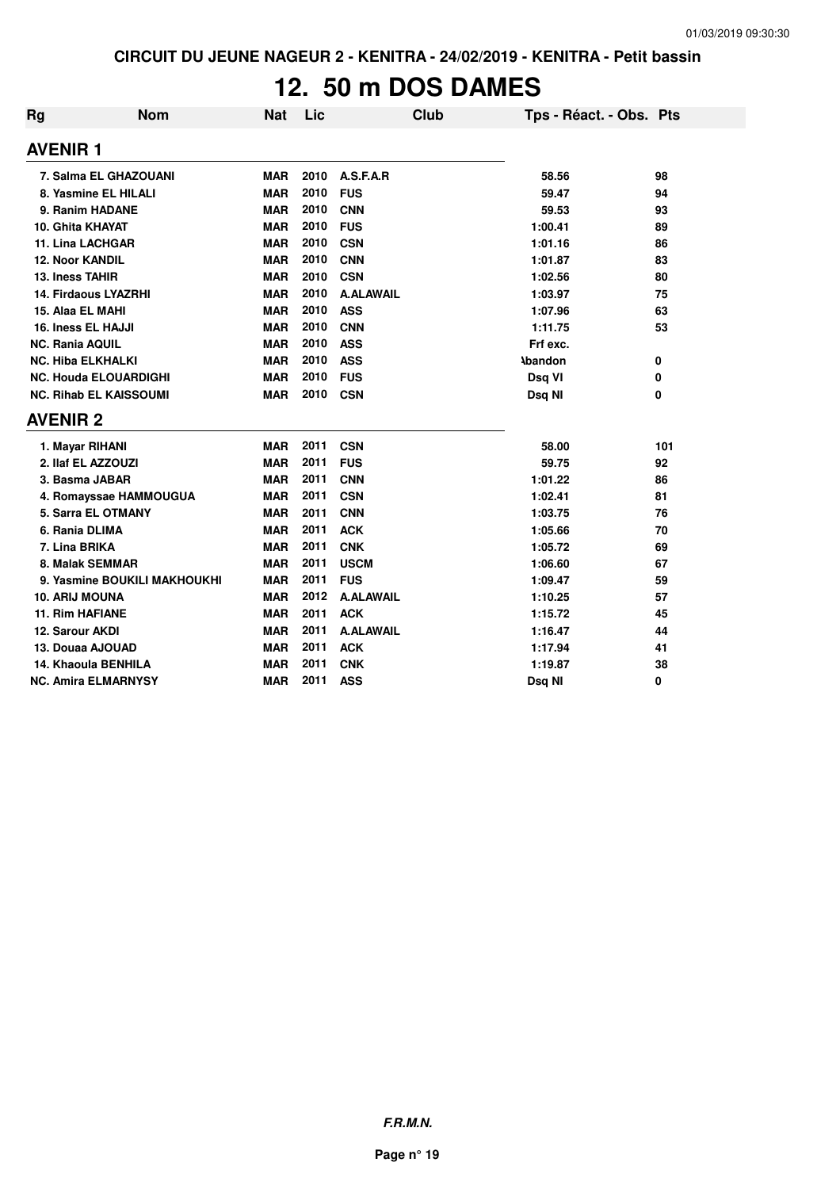# **12. 50 m DOS DAMES**

| Rg                            | <b>Nom</b>                   | <b>Nat</b> | Lic  |                  | <b>Club</b> | Tps - Réact. - Obs. Pts |     |
|-------------------------------|------------------------------|------------|------|------------------|-------------|-------------------------|-----|
| <b>AVENIR1</b>                |                              |            |      |                  |             |                         |     |
| 7. Salma EL GHAZOUANI         |                              | MAR        | 2010 | A.S.F.A.R        |             | 58.56                   | 98  |
| 8. Yasmine EL HILALI          |                              | <b>MAR</b> | 2010 | <b>FUS</b>       |             | 59.47                   | 94  |
| 9. Ranim HADANE               |                              | <b>MAR</b> | 2010 | <b>CNN</b>       |             | 59.53                   | 93  |
| 10. Ghita KHAYAT              |                              | <b>MAR</b> | 2010 | <b>FUS</b>       |             | 1:00.41                 | 89  |
| 11. Lina LACHGAR              |                              | <b>MAR</b> | 2010 | <b>CSN</b>       |             | 1:01.16                 | 86  |
| <b>12. Noor KANDIL</b>        |                              | <b>MAR</b> | 2010 | <b>CNN</b>       |             | 1:01.87                 | 83  |
| 13. Iness TAHIR               |                              | <b>MAR</b> | 2010 | <b>CSN</b>       |             | 1:02.56                 | 80  |
| <b>14. Firdaous LYAZRHI</b>   |                              | <b>MAR</b> | 2010 | <b>A.ALAWAIL</b> |             | 1:03.97                 | 75  |
| 15. Alaa EL MAHI              |                              | <b>MAR</b> | 2010 | <b>ASS</b>       |             | 1:07.96                 | 63  |
| 16. Iness EL HAJJI            |                              | <b>MAR</b> | 2010 | <b>CNN</b>       |             | 1:11.75                 | 53  |
| <b>NC. Rania AQUIL</b>        |                              | <b>MAR</b> | 2010 | <b>ASS</b>       |             | Frf exc.                |     |
| <b>NC. Hiba ELKHALKI</b>      |                              | <b>MAR</b> | 2010 | <b>ASS</b>       |             | <b>\bandon</b>          | 0   |
| <b>NC. Houda ELOUARDIGHI</b>  |                              | <b>MAR</b> | 2010 | <b>FUS</b>       |             | Dsq VI                  | 0   |
| <b>NC. Rihab EL KAISSOUMI</b> |                              | <b>MAR</b> | 2010 | <b>CSN</b>       |             | Dsq NI                  | 0   |
| <b>AVENIR 2</b>               |                              |            |      |                  |             |                         |     |
| 1. Mayar RIHANI               |                              | <b>MAR</b> | 2011 | <b>CSN</b>       |             | 58.00                   | 101 |
| 2. Ilaf EL AZZOUZI            |                              | <b>MAR</b> | 2011 | <b>FUS</b>       |             | 59.75                   | 92  |
| 3. Basma JABAR                |                              | <b>MAR</b> | 2011 | <b>CNN</b>       |             | 1:01.22                 | 86  |
| 4. Romayssae HAMMOUGUA        |                              | <b>MAR</b> | 2011 | <b>CSN</b>       |             | 1:02.41                 | 81  |
| 5. Sarra EL OTMANY            |                              | <b>MAR</b> | 2011 | <b>CNN</b>       |             | 1:03.75                 | 76  |
| 6. Rania DLIMA                |                              | <b>MAR</b> | 2011 | <b>ACK</b>       |             | 1:05.66                 | 70  |
| 7. Lina BRIKA                 |                              | <b>MAR</b> | 2011 | <b>CNK</b>       |             | 1:05.72                 | 69  |
| 8. Malak SEMMAR               |                              | <b>MAR</b> | 2011 | <b>USCM</b>      |             | 1:06.60                 | 67  |
|                               | 9. Yasmine BOUKILI MAKHOUKHI | <b>MAR</b> | 2011 | <b>FUS</b>       |             | 1:09.47                 | 59  |
| <b>10. ARIJ MOUNA</b>         |                              | <b>MAR</b> | 2012 | <b>A.ALAWAIL</b> |             | 1:10.25                 | 57  |
| <b>11. Rim HAFIANE</b>        |                              | <b>MAR</b> | 2011 | <b>ACK</b>       |             | 1:15.72                 | 45  |
| 12. Sarour AKDI               |                              | <b>MAR</b> | 2011 | <b>A.ALAWAIL</b> |             | 1:16.47                 | 44  |
| 13. Douaa AJOUAD              |                              | <b>MAR</b> | 2011 | <b>ACK</b>       |             | 1:17.94                 | 41  |
| 14. Khaoula BENHILA           |                              | <b>MAR</b> | 2011 | <b>CNK</b>       |             | 1:19.87                 | 38  |
| <b>NC. Amira ELMARNYSY</b>    |                              | <b>MAR</b> | 2011 | <b>ASS</b>       |             | Dsq NI                  | 0   |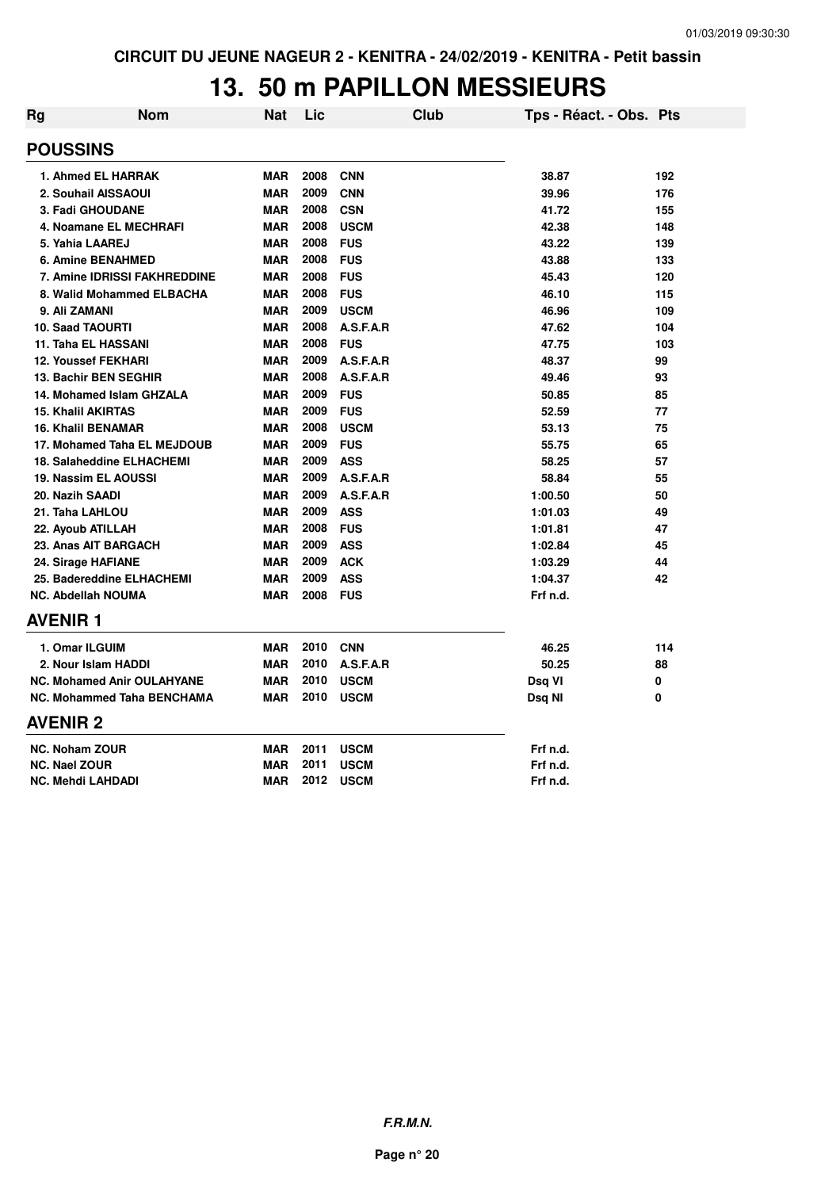# **13. 50 m PAPILLON MESSIEURS**

| Rg | <b>Nom</b>                          | <b>Nat</b> | Lic  | <b>Club</b> | Tps - Réact. - Obs. Pts |     |
|----|-------------------------------------|------------|------|-------------|-------------------------|-----|
|    | <b>POUSSINS</b>                     |            |      |             |                         |     |
|    | 1. Ahmed EL HARRAK                  | <b>MAR</b> | 2008 | <b>CNN</b>  | 38.87                   | 192 |
|    | 2. Souhail AISSAOUI                 | <b>MAR</b> | 2009 | <b>CNN</b>  | 39.96                   | 176 |
|    | 3. Fadi GHOUDANE                    | <b>MAR</b> | 2008 | <b>CSN</b>  | 41.72                   | 155 |
|    | 4. Noamane EL MECHRAFI              | <b>MAR</b> | 2008 | <b>USCM</b> | 42.38                   | 148 |
|    | 5. Yahia LAAREJ                     | <b>MAR</b> | 2008 | <b>FUS</b>  | 43.22                   | 139 |
|    | <b>6. Amine BENAHMED</b>            | <b>MAR</b> | 2008 | <b>FUS</b>  | 43.88                   | 133 |
|    | <b>7. Amine IDRISSI FAKHREDDINE</b> | <b>MAR</b> | 2008 | <b>FUS</b>  | 45.43                   | 120 |
|    | 8. Walid Mohammed ELBACHA           | <b>MAR</b> | 2008 | <b>FUS</b>  | 46.10                   | 115 |
|    | 9. Ali ZAMANI                       | <b>MAR</b> | 2009 | <b>USCM</b> | 46.96                   | 109 |
|    | <b>10. Saad TAOURTI</b>             | <b>MAR</b> | 2008 | A.S.F.A.R   | 47.62                   | 104 |
|    | 11. Taha EL HASSANI                 | <b>MAR</b> | 2008 | <b>FUS</b>  | 47.75                   | 103 |
|    | <b>12. Youssef FEKHARI</b>          | <b>MAR</b> | 2009 | A.S.F.A.R   | 48.37                   | 99  |
|    | 13. Bachir BEN SEGHIR               | <b>MAR</b> | 2008 | A.S.F.A.R   | 49.46                   | 93  |
|    | 14. Mohamed Islam GHZALA            | <b>MAR</b> | 2009 | <b>FUS</b>  | 50.85                   | 85  |
|    | <b>15. Khalil AKIRTAS</b>           | <b>MAR</b> | 2009 | <b>FUS</b>  | 52.59                   | 77  |
|    | <b>16. Khalil BENAMAR</b>           | <b>MAR</b> | 2008 | <b>USCM</b> | 53.13                   | 75  |
|    | 17. Mohamed Taha EL MEJDOUB         | <b>MAR</b> | 2009 | <b>FUS</b>  | 55.75                   | 65  |
|    | <b>18. Salaheddine ELHACHEMI</b>    | <b>MAR</b> | 2009 | <b>ASS</b>  | 58.25                   | 57  |
|    | 19. Nassim EL AOUSSI                | <b>MAR</b> | 2009 | A.S.F.A.R   | 58.84                   | 55  |
|    | 20. Nazih SAADI                     | <b>MAR</b> | 2009 | A.S.F.A.R   | 1:00.50                 | 50  |
|    | 21. Taha LAHLOU                     | <b>MAR</b> | 2009 | <b>ASS</b>  | 1:01.03                 | 49  |
|    | 22. Ayoub ATILLAH                   | <b>MAR</b> | 2008 | <b>FUS</b>  | 1:01.81                 | 47  |
|    | 23. Anas AIT BARGACH                | <b>MAR</b> | 2009 | <b>ASS</b>  | 1:02.84                 | 45  |
|    | 24. Sirage HAFIANE                  | <b>MAR</b> | 2009 | <b>ACK</b>  | 1:03.29                 | 44  |
|    | 25. Badereddine ELHACHEMI           | <b>MAR</b> | 2009 | <b>ASS</b>  | 1:04.37                 | 42  |
|    | <b>NC. Abdellah NOUMA</b>           | <b>MAR</b> | 2008 | <b>FUS</b>  | Frf n.d.                |     |
|    | <b>AVENIR 1</b>                     |            |      |             |                         |     |
|    | 1. Omar ILGUIM                      | <b>MAR</b> | 2010 | <b>CNN</b>  | 46.25                   | 114 |
|    | 2. Nour Islam HADDI                 | <b>MAR</b> | 2010 | A.S.F.A.R   | 50.25                   | 88  |
|    | <b>NC. Mohamed Anir OULAHYANE</b>   | <b>MAR</b> | 2010 | <b>USCM</b> | Dsq VI                  | 0   |
|    | <b>NC. Mohammed Taha BENCHAMA</b>   | <b>MAR</b> | 2010 | <b>USCM</b> | Dsq NI                  | 0   |
|    | <b>AVENIR 2</b>                     |            |      |             |                         |     |
|    | <b>NC. Noham ZOUR</b>               | <b>MAR</b> | 2011 | <b>USCM</b> | Frf n.d.                |     |
|    | <b>NC. Nael ZOUR</b>                | <b>MAR</b> | 2011 | <b>USCM</b> | Frf n.d.                |     |
|    | <b>NC. Mehdi LAHDADI</b>            | <b>MAR</b> | 2012 | <b>USCM</b> | Frf n.d.                |     |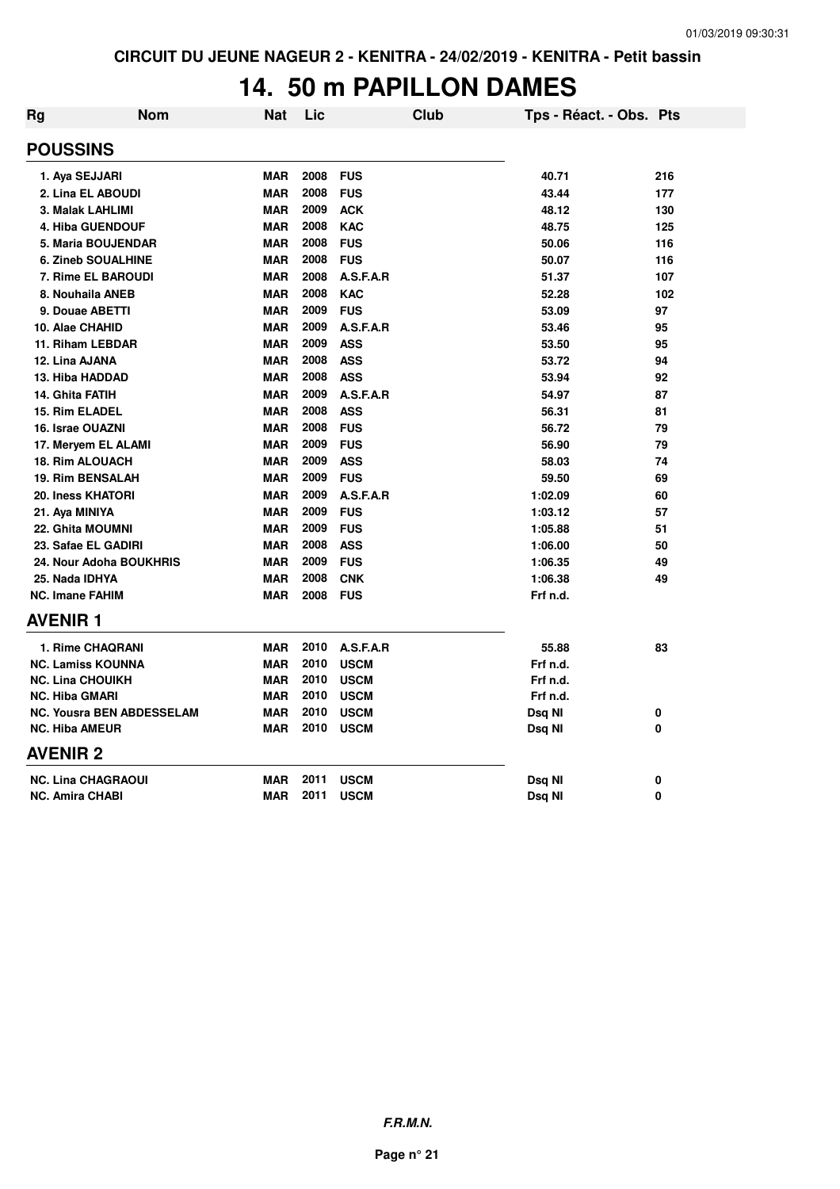#### **14. 50 m PAPILLON DAMES**

| <b>Rg</b>       | <b>Nom</b>                       | <b>Nat</b> | Lic  | Club        | Tps - Réact. - Obs. Pts |     |
|-----------------|----------------------------------|------------|------|-------------|-------------------------|-----|
| <b>POUSSINS</b> |                                  |            |      |             |                         |     |
|                 | 1. Aya SEJJARI                   | <b>MAR</b> | 2008 | <b>FUS</b>  | 40.71                   | 216 |
|                 | 2. Lina EL ABOUDI                | <b>MAR</b> | 2008 | <b>FUS</b>  | 43.44                   | 177 |
|                 | 3. Malak LAHLIMI                 | <b>MAR</b> | 2009 | <b>ACK</b>  | 48.12                   | 130 |
|                 | <b>4. Hiba GUENDOUF</b>          | <b>MAR</b> | 2008 | <b>KAC</b>  | 48.75                   | 125 |
|                 | 5. Maria BOUJENDAR               | <b>MAR</b> | 2008 | <b>FUS</b>  | 50.06                   | 116 |
|                 | <b>6. Zineb SOUALHINE</b>        | <b>MAR</b> | 2008 | <b>FUS</b>  | 50.07                   | 116 |
|                 | 7. Rime EL BAROUDI               | <b>MAR</b> | 2008 | A.S.F.A.R   | 51.37                   | 107 |
|                 | 8. Nouhaila ANEB                 | <b>MAR</b> | 2008 | <b>KAC</b>  | 52.28                   | 102 |
|                 | 9. Douae ABETTI                  | <b>MAR</b> | 2009 | <b>FUS</b>  | 53.09                   | 97  |
|                 | 10. Alae CHAHID                  | <b>MAR</b> | 2009 | A.S.F.A.R   | 53.46                   | 95  |
|                 | 11. Riham LEBDAR                 | <b>MAR</b> | 2009 | <b>ASS</b>  | 53.50                   | 95  |
|                 | 12. Lina AJANA                   | <b>MAR</b> | 2008 | <b>ASS</b>  | 53.72                   | 94  |
|                 | 13. Hiba HADDAD                  | <b>MAR</b> | 2008 | <b>ASS</b>  | 53.94                   | 92  |
|                 | 14. Ghita FATIH                  | <b>MAR</b> | 2009 | A.S.F.A.R   | 54.97                   | 87  |
|                 | 15. Rim ELADEL                   | <b>MAR</b> | 2008 | <b>ASS</b>  | 56.31                   | 81  |
|                 | 16. Israe OUAZNI                 | <b>MAR</b> | 2008 | <b>FUS</b>  | 56.72                   | 79  |
|                 | 17. Meryem EL ALAMI              | <b>MAR</b> | 2009 | <b>FUS</b>  | 56.90                   | 79  |
|                 | <b>18. Rim ALOUACH</b>           | <b>MAR</b> | 2009 | <b>ASS</b>  | 58.03                   | 74  |
|                 | <b>19. Rim BENSALAH</b>          | <b>MAR</b> | 2009 | <b>FUS</b>  | 59.50                   | 69  |
|                 | 20. Iness KHATORI                | <b>MAR</b> | 2009 | A.S.F.A.R   | 1:02.09                 | 60  |
|                 | 21. Aya MINIYA                   | <b>MAR</b> | 2009 | <b>FUS</b>  | 1:03.12                 | 57  |
|                 | <b>22. Ghita MOUMNI</b>          | <b>MAR</b> | 2009 | <b>FUS</b>  | 1:05.88                 | 51  |
|                 | 23. Safae EL GADIRI              | <b>MAR</b> | 2008 | <b>ASS</b>  | 1:06.00                 | 50  |
|                 | 24. Nour Adoha BOUKHRIS          | <b>MAR</b> | 2009 | <b>FUS</b>  | 1:06.35                 | 49  |
|                 | 25. Nada IDHYA                   | <b>MAR</b> | 2008 | <b>CNK</b>  | 1:06.38                 | 49  |
|                 | <b>NC. Imane FAHIM</b>           | <b>MAR</b> | 2008 | <b>FUS</b>  | Frf n.d.                |     |
| <b>AVENIR 1</b> |                                  |            |      |             |                         |     |
|                 | 1. Rime CHAQRANI                 | <b>MAR</b> | 2010 | A.S.F.A.R   | 55.88                   | 83  |
|                 | <b>NC. Lamiss KOUNNA</b>         | <b>MAR</b> | 2010 | <b>USCM</b> | Frf n.d.                |     |
|                 | <b>NC. Lina CHOUIKH</b>          | <b>MAR</b> | 2010 | <b>USCM</b> | Frf n.d.                |     |
|                 | <b>NC. Hiba GMARI</b>            | <b>MAR</b> | 2010 | <b>USCM</b> | Frf n.d.                |     |
|                 | <b>NC. Yousra BEN ABDESSELAM</b> | <b>MAR</b> | 2010 | <b>USCM</b> | Dsq NI                  | 0   |
|                 | <b>NC. Hiba AMEUR</b>            | <b>MAR</b> | 2010 | <b>USCM</b> | Dsq NI                  | 0   |
| <b>AVENIR 2</b> |                                  |            |      |             |                         |     |
|                 | <b>NC. Lina CHAGRAOUI</b>        | <b>MAR</b> | 2011 | <b>USCM</b> | Dsq NI                  | 0   |
|                 | <b>NC. Amira CHABI</b>           | <b>MAR</b> | 2011 | <b>USCM</b> | Dsq Nl                  | 0   |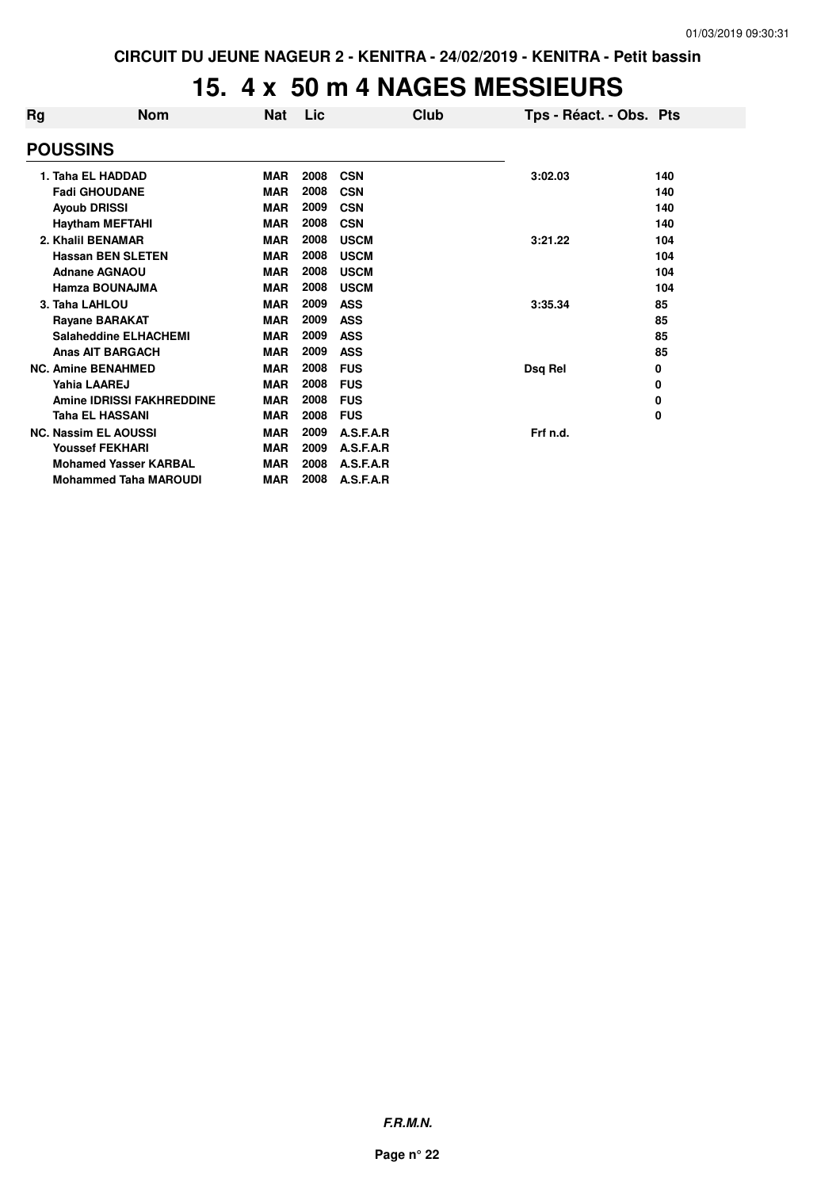#### **15. 4 x 50 m 4 NAGES MESSIEURS**

| Rg | Nom                              | Nat        | Lic  | Club        | Tps - Réact. - Obs. Pts |     |
|----|----------------------------------|------------|------|-------------|-------------------------|-----|
|    | <b>POUSSINS</b>                  |            |      |             |                         |     |
|    | 1. Taha EL HADDAD                | <b>MAR</b> | 2008 | <b>CSN</b>  | 3:02.03                 | 140 |
|    | <b>Fadi GHOUDANE</b>             | <b>MAR</b> | 2008 | <b>CSN</b>  |                         | 140 |
|    | <b>Ayoub DRISSI</b>              | <b>MAR</b> | 2009 | <b>CSN</b>  |                         | 140 |
|    | <b>Haytham MEFTAHI</b>           | <b>MAR</b> | 2008 | <b>CSN</b>  |                         | 140 |
|    | 2. Khalil BENAMAR                | <b>MAR</b> | 2008 | <b>USCM</b> | 3:21.22                 | 104 |
|    | <b>Hassan BEN SLETEN</b>         | <b>MAR</b> | 2008 | <b>USCM</b> |                         | 104 |
|    | <b>Adnane AGNAOU</b>             | <b>MAR</b> | 2008 | <b>USCM</b> |                         | 104 |
|    | Hamza BOUNAJMA                   | <b>MAR</b> | 2008 | <b>USCM</b> |                         | 104 |
|    | 3. Taha LAHLOU                   | <b>MAR</b> | 2009 | <b>ASS</b>  | 3:35.34                 | 85  |
|    | <b>Rayane BARAKAT</b>            | <b>MAR</b> | 2009 | <b>ASS</b>  |                         | 85  |
|    | <b>Salaheddine ELHACHEMI</b>     | MAR        | 2009 | <b>ASS</b>  |                         | 85  |
|    | <b>Anas AIT BARGACH</b>          | <b>MAR</b> | 2009 | <b>ASS</b>  |                         | 85  |
|    | <b>NC. Amine BENAHMED</b>        | <b>MAR</b> | 2008 | <b>FUS</b>  | Dsq Rel                 | 0   |
|    | Yahia LAAREJ                     | <b>MAR</b> | 2008 | <b>FUS</b>  |                         | 0   |
|    | <b>Amine IDRISSI FAKHREDDINE</b> | <b>MAR</b> | 2008 | <b>FUS</b>  |                         | 0   |
|    | Taha EL HASSANI                  | <b>MAR</b> | 2008 | <b>FUS</b>  |                         | 0   |
|    | <b>NC. Nassim EL AOUSSI</b>      | <b>MAR</b> | 2009 | A.S.F.A.R   | Frf n.d.                |     |
|    | <b>Youssef FEKHARI</b>           | <b>MAR</b> | 2009 | A.S.F.A.R   |                         |     |
|    | <b>Mohamed Yasser KARBAL</b>     | <b>MAR</b> | 2008 | A.S.F.A.R   |                         |     |
|    | <b>Mohammed Taha MAROUDI</b>     | <b>MAR</b> | 2008 | A.S.F.A.R   |                         |     |